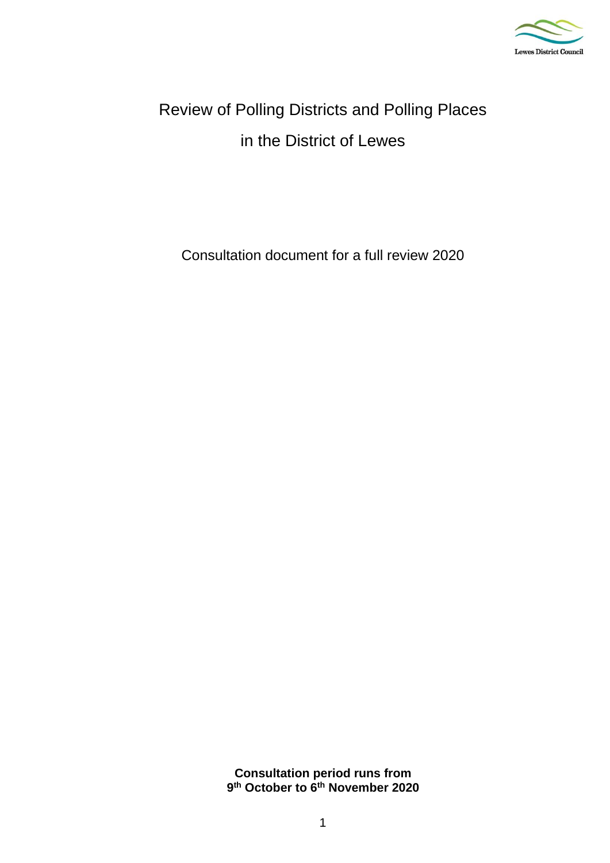

# Review of Polling Districts and Polling Places in the District of Lewes

Consultation document for a full review 2020

**Consultation period runs from 9 th October to 6th November 2020**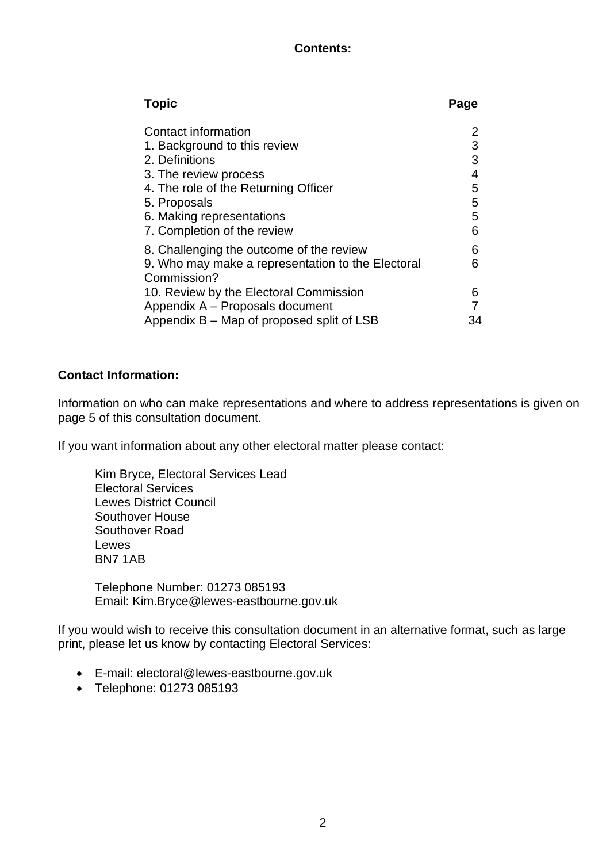# **Contents:**

| <b>Topic</b>                                      | Page |
|---------------------------------------------------|------|
| Contact information                               |      |
| 1. Background to this review                      | 3    |
| 2. Definitions                                    | 3    |
| 3. The review process                             | 4    |
| 4. The role of the Returning Officer              | 5    |
| 5. Proposals                                      | 5    |
| 6. Making representations                         | 5    |
| 7. Completion of the review                       | 6    |
| 8. Challenging the outcome of the review          | 6    |
| 9. Who may make a representation to the Electoral | 6    |
| Commission?                                       |      |
| 10. Review by the Electoral Commission            | 6    |
| Appendix A - Proposals document                   |      |
| Appendix B – Map of proposed split of LSB         | 34   |

# **Contact Information:**

Information on who can make representations and where to address representations is given on page 5 of this consultation document.

If you want information about any other electoral matter please contact:

Kim Bryce, Electoral Services Lead Electoral Services Lewes District Council Southover House Southover Road Lewes BN7 1AB

Telephone Number: 01273 085193 Email: Kim.Bryce@lewes-eastbourne.gov.uk

If you would wish to receive this consultation document in an alternative format, such as large print, please let us know by contacting Electoral Services:

- E-mail: electoral@lewes-eastbourne.gov.uk
- Telephone: 01273 085193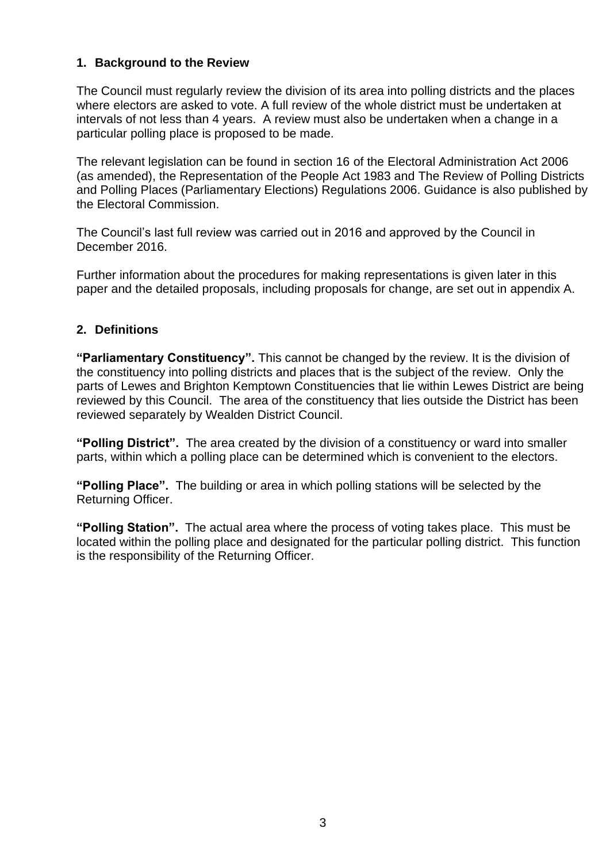# **1. Background to the Review**

The Council must regularly review the division of its area into polling districts and the places where electors are asked to vote. A full review of the whole district must be undertaken at intervals of not less than 4 years. A review must also be undertaken when a change in a particular polling place is proposed to be made.

The relevant legislation can be found in section 16 of the Electoral Administration Act 2006 (as amended), the Representation of the People Act 1983 and The Review of Polling Districts and Polling Places (Parliamentary Elections) Regulations 2006. Guidance is also published by the Electoral Commission.

The Council's last full review was carried out in 2016 and approved by the Council in December 2016.

Further information about the procedures for making representations is given later in this paper and the detailed proposals, including proposals for change, are set out in appendix A.

# **2. Definitions**

**"Parliamentary Constituency".** This cannot be changed by the review. It is the division of the constituency into polling districts and places that is the subject of the review. Only the parts of Lewes and Brighton Kemptown Constituencies that lie within Lewes District are being reviewed by this Council. The area of the constituency that lies outside the District has been reviewed separately by Wealden District Council.

**"Polling District".** The area created by the division of a constituency or ward into smaller parts, within which a polling place can be determined which is convenient to the electors.

**"Polling Place".** The building or area in which polling stations will be selected by the Returning Officer.

**"Polling Station".** The actual area where the process of voting takes place. This must be located within the polling place and designated for the particular polling district. This function is the responsibility of the Returning Officer.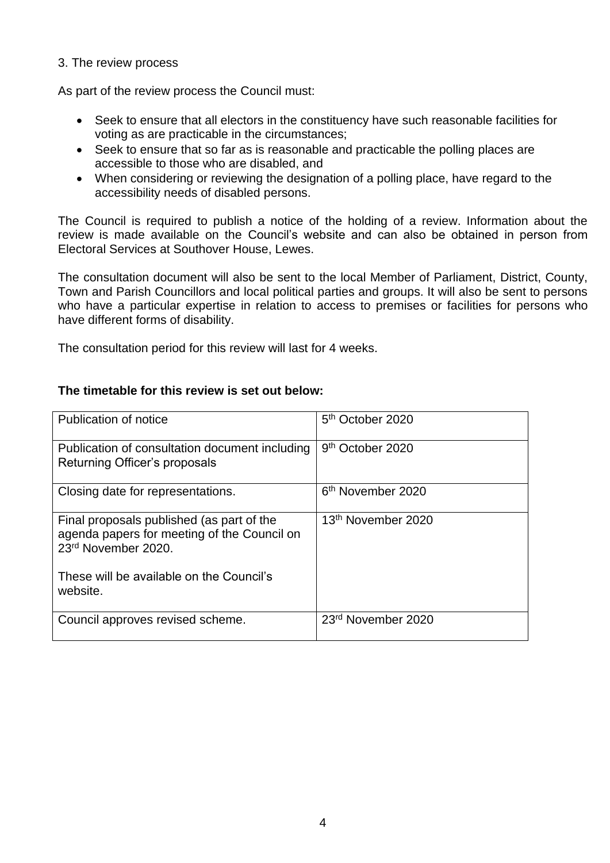#### 3. The review process

As part of the review process the Council must:

- Seek to ensure that all electors in the constituency have such reasonable facilities for voting as are practicable in the circumstances;
- Seek to ensure that so far as is reasonable and practicable the polling places are accessible to those who are disabled, and
- When considering or reviewing the designation of a polling place, have regard to the accessibility needs of disabled persons.

The Council is required to publish a notice of the holding of a review. Information about the review is made available on the Council's website and can also be obtained in person from Electoral Services at Southover House, Lewes.

The consultation document will also be sent to the local Member of Parliament, District, County, Town and Parish Councillors and local political parties and groups. It will also be sent to persons who have a particular expertise in relation to access to premises or facilities for persons who have different forms of disability.

The consultation period for this review will last for 4 weeks.

| Publication of notice                                                                                           | 5 <sup>th</sup> October 2020   |
|-----------------------------------------------------------------------------------------------------------------|--------------------------------|
| Publication of consultation document including<br>Returning Officer's proposals                                 | 9 <sup>th</sup> October 2020   |
| Closing date for representations.                                                                               | 6 <sup>th</sup> November 2020  |
| Final proposals published (as part of the<br>agenda papers for meeting of the Council on<br>23rd November 2020. | 13 <sup>th</sup> November 2020 |
| These will be available on the Council's<br>website.                                                            |                                |
| Council approves revised scheme.                                                                                | 23 <sup>rd</sup> November 2020 |

#### **The timetable for this review is set out below:**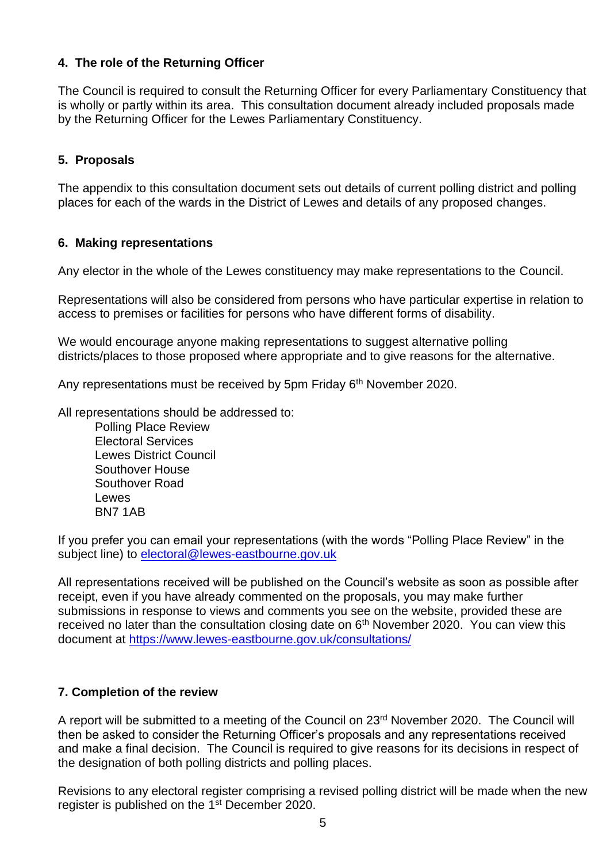# **4. The role of the Returning Officer**

The Council is required to consult the Returning Officer for every Parliamentary Constituency that is wholly or partly within its area. This consultation document already included proposals made by the Returning Officer for the Lewes Parliamentary Constituency.

# **5. Proposals**

The appendix to this consultation document sets out details of current polling district and polling places for each of the wards in the District of Lewes and details of any proposed changes.

#### **6. Making representations**

Any elector in the whole of the Lewes constituency may make representations to the Council.

Representations will also be considered from persons who have particular expertise in relation to access to premises or facilities for persons who have different forms of disability.

We would encourage anyone making representations to suggest alternative polling districts/places to those proposed where appropriate and to give reasons for the alternative.

Any representations must be received by 5pm Friday 6<sup>th</sup> November 2020.

All representations should be addressed to:

Polling Place Review Electoral Services Lewes District Council Southover House Southover Road Lewes BN7 1AB

If you prefer you can email your representations (with the words "Polling Place Review" in the subject line) to [electoral@lewes-eastbourne.gov.uk](file:///C:/Users/kim.bryce/AppData/Local/Microsoft/Windows/Temporary%20Internet%20Files/Content.Outlook/HCB32EOG/electoral@lewes-eastbourne.gov.uk)

All representations received will be published on the Council's website as soon as possible after receipt, even if you have already commented on the proposals, you may make further submissions in response to views and comments you see on the website, provided these are received no later than the consultation closing date on  $6<sup>th</sup>$  November 2020. You can view this document at<https://www.lewes-eastbourne.gov.uk/consultations/>

#### **7. Completion of the review**

A report will be submitted to a meeting of the Council on 23rd November 2020. The Council will then be asked to consider the Returning Officer's proposals and any representations received and make a final decision. The Council is required to give reasons for its decisions in respect of the designation of both polling districts and polling places.

Revisions to any electoral register comprising a revised polling district will be made when the new register is published on the 1st December 2020.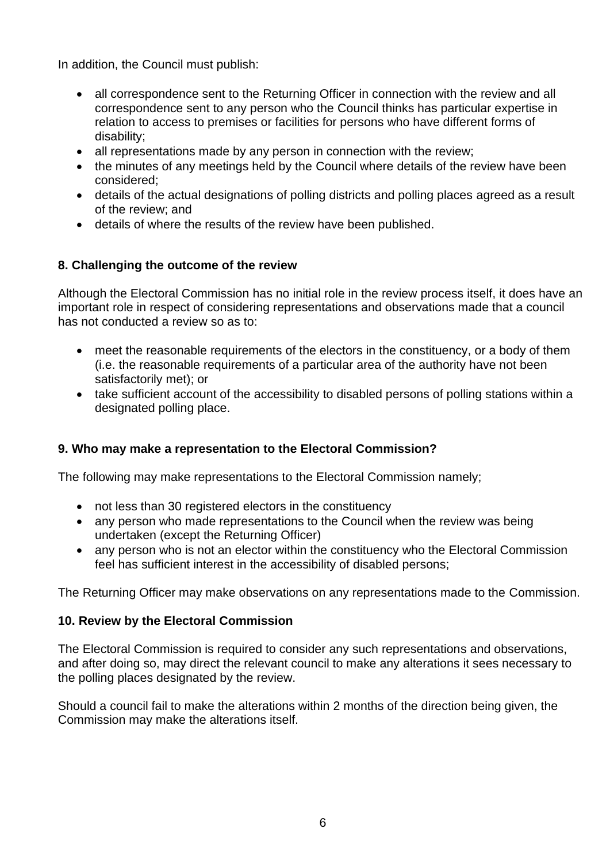In addition, the Council must publish:

- all correspondence sent to the Returning Officer in connection with the review and all correspondence sent to any person who the Council thinks has particular expertise in relation to access to premises or facilities for persons who have different forms of disability;
- all representations made by any person in connection with the review;
- the minutes of any meetings held by the Council where details of the review have been considered;
- details of the actual designations of polling districts and polling places agreed as a result of the review; and
- details of where the results of the review have been published.

# **8. Challenging the outcome of the review**

Although the Electoral Commission has no initial role in the review process itself, it does have an important role in respect of considering representations and observations made that a council has not conducted a review so as to:

- meet the reasonable requirements of the electors in the constituency, or a body of them (i.e. the reasonable requirements of a particular area of the authority have not been satisfactorily met); or
- take sufficient account of the accessibility to disabled persons of polling stations within a designated polling place.

# **9. Who may make a representation to the Electoral Commission?**

The following may make representations to the Electoral Commission namely;

- not less than 30 registered electors in the constituency
- any person who made representations to the Council when the review was being undertaken (except the Returning Officer)
- any person who is not an elector within the constituency who the Electoral Commission feel has sufficient interest in the accessibility of disabled persons;

The Returning Officer may make observations on any representations made to the Commission.

#### **10. Review by the Electoral Commission**

The Electoral Commission is required to consider any such representations and observations, and after doing so, may direct the relevant council to make any alterations it sees necessary to the polling places designated by the review.

Should a council fail to make the alterations within 2 months of the direction being given, the Commission may make the alterations itself.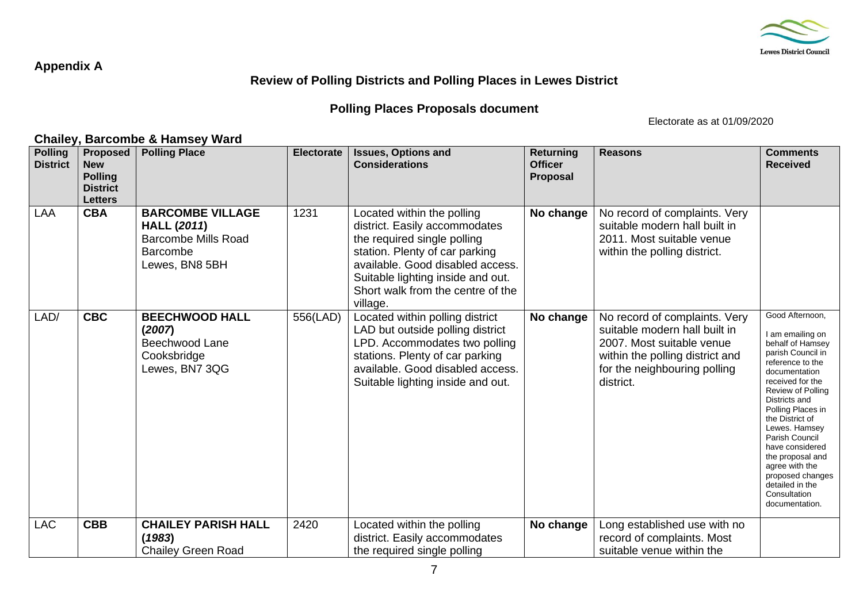

#### **Appendix A**

# **Review of Polling Districts and Polling Places in Lewes District**

# **Polling Places Proposals document**

Electorate as at 01/09/2020

#### **Chailey, Barcombe & Hamsey Ward Polling District Proposed New Polling District Letters Polling Place Electorate Issues, Options and Considerations Returning Officer Proposal Reasons Comments Received** LAA **CBA BARCOMBE VILLAGE HALL (***2011***)** Barcombe Mills Road **Barcombe** Lewes, BN8 5BH 1231 | Located within the polling district. Easily accommodates the required single polling station. Plenty of car parking available. Good disabled access. Suitable lighting inside and out. Short walk from the centre of the village. **No change** No record of complaints. Very suitable modern hall built in 2011. Most suitable venue within the polling district. LAD/ **CBC BEECHWOOD HALL (***2007***)** Beechwood Lane Cooksbridge Lewes, BN7 3QG 556(LAD) Located within polling district LAD but outside polling district LPD. Accommodates two polling stations. Plenty of car parking available. Good disabled access. Suitable lighting inside and out. **No change** | No record of complaints. Very suitable modern hall built in 2007. Most suitable venue within the polling district and for the neighbouring polling district. Good Afternoon, I am emailing on behalf of Hamsey parish Council in reference to the documentation received for the Review of Polling Districts and Polling Places in the District of Lewes. Hamsey Parish Council have considered the proposal and agree with the proposed changes detailed in the **Consultation** documentation. LAC **CBB CHAILEY PARISH HALL (***1983***)** Chailey Green Road 2420 | Located within the polling district. Easily accommodates the required single polling **No change** | Long established use with no record of complaints. Most suitable venue within the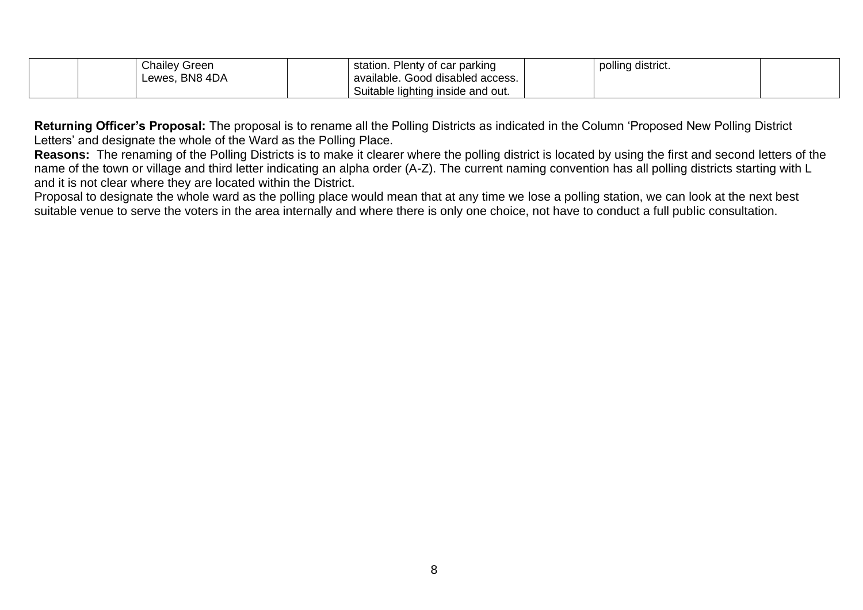| <b>Chailey Green</b> | station. Plenty of car parking    | polling district. |  |
|----------------------|-----------------------------------|-------------------|--|
| Lewes, BN8 4DA       | available. Good disabled access.  |                   |  |
|                      | Suitable lighting inside and out. |                   |  |

**Returning Officer's Proposal:** The proposal is to rename all the Polling Districts as indicated in the Column 'Proposed New Polling District Letters' and designate the whole of the Ward as the Polling Place.

**Reasons:** The renaming of the Polling Districts is to make it clearer where the polling district is located by using the first and second letters of the name of the town or village and third letter indicating an alpha order (A-Z). The current naming convention has all polling districts starting with L and it is not clear where they are located within the District.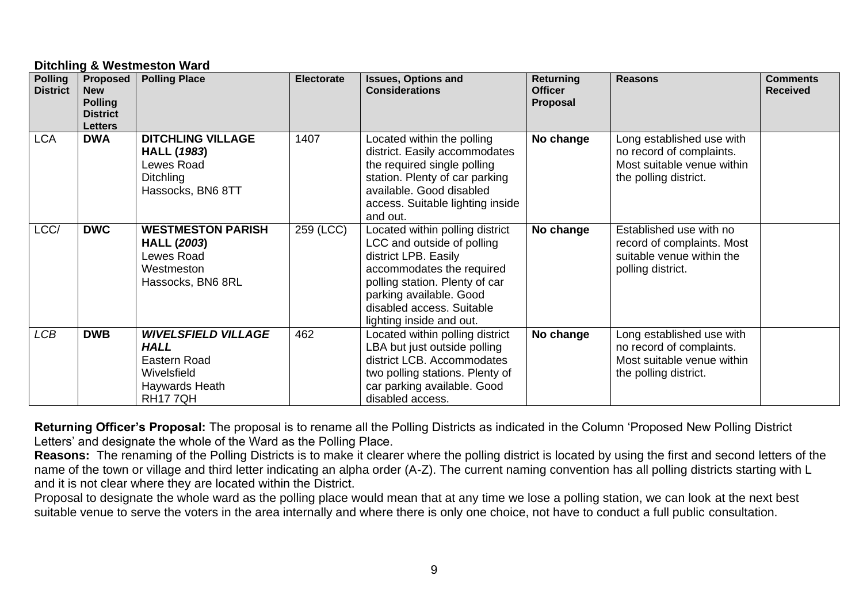#### **Ditchling & Westmeston Ward**

| <b>Polling</b><br><b>District</b> | Proposed  <br><b>New</b><br><b>Polling</b><br><b>District</b><br><b>Letters</b> | <b>Polling Place</b>                                                                                         | <b>Electorate</b> | <b>Issues, Options and</b><br><b>Considerations</b>                                                                                                                                                                                      | <b>Returning</b><br><b>Officer</b><br>Proposal | <b>Reasons</b>                                                                                               | <b>Comments</b><br><b>Received</b> |
|-----------------------------------|---------------------------------------------------------------------------------|--------------------------------------------------------------------------------------------------------------|-------------------|------------------------------------------------------------------------------------------------------------------------------------------------------------------------------------------------------------------------------------------|------------------------------------------------|--------------------------------------------------------------------------------------------------------------|------------------------------------|
| <b>LCA</b>                        | <b>DWA</b>                                                                      | <b>DITCHLING VILLAGE</b><br><b>HALL (1983)</b><br>Lewes Road<br><b>Ditchling</b><br>Hassocks, BN6 8TT        | 1407              | Located within the polling<br>district. Easily accommodates<br>the required single polling<br>station. Plenty of car parking<br>available. Good disabled<br>access. Suitable lighting inside<br>and out.                                 | No change                                      | Long established use with<br>no record of complaints.<br>Most suitable venue within<br>the polling district. |                                    |
| LCC/                              | <b>DWC</b>                                                                      | <b>WESTMESTON PARISH</b><br><b>HALL (2003)</b><br>Lewes Road<br>Westmeston<br>Hassocks, BN6 8RL              | 259 (LCC)         | Located within polling district<br>LCC and outside of polling<br>district LPB. Easily<br>accommodates the required<br>polling station. Plenty of car<br>parking available. Good<br>disabled access. Suitable<br>lighting inside and out. | No change                                      | Established use with no<br>record of complaints. Most<br>suitable venue within the<br>polling district.      |                                    |
| <b>LCB</b>                        | <b>DWB</b>                                                                      | <b>WIVELSFIELD VILLAGE</b><br><b>HALL</b><br>Eastern Road<br>Wivelsfield<br>Haywards Heath<br><b>RH177QH</b> | 462               | Located within polling district<br>LBA but just outside polling<br>district LCB. Accommodates<br>two polling stations. Plenty of<br>car parking available. Good<br>disabled access.                                                      | No change                                      | Long established use with<br>no record of complaints.<br>Most suitable venue within<br>the polling district. |                                    |

**Returning Officer's Proposal:** The proposal is to rename all the Polling Districts as indicated in the Column 'Proposed New Polling District Letters' and designate the whole of the Ward as the Polling Place.

**Reasons:** The renaming of the Polling Districts is to make it clearer where the polling district is located by using the first and second letters of the name of the town or village and third letter indicating an alpha order (A-Z). The current naming convention has all polling districts starting with L and it is not clear where they are located within the District.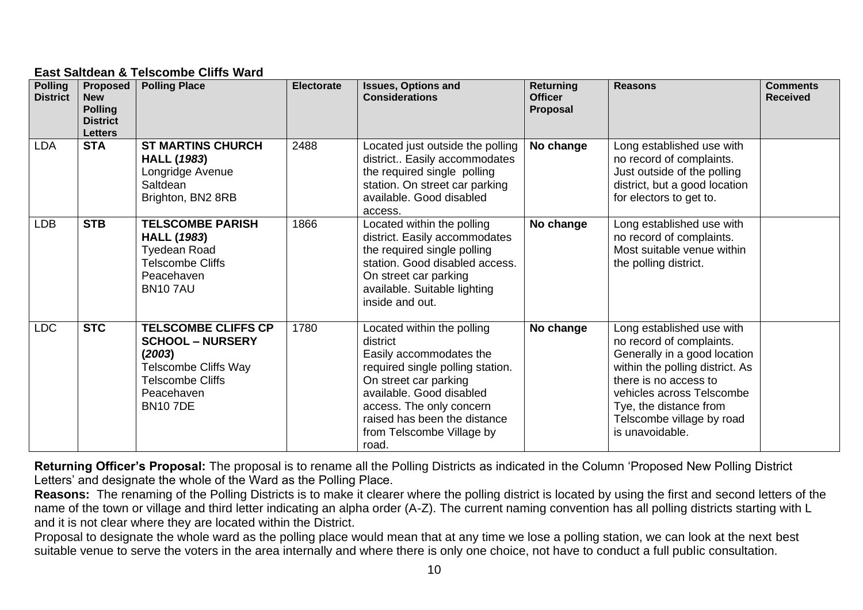# **East Saltdean & Telscombe Cliffs Ward**

| <b>Polling</b><br><b>District</b> | Proposed<br><b>New</b><br><b>Polling</b><br><b>District</b><br><b>Letters</b> | <b>Polling Place</b>                                                                                                                                      | <b>Electorate</b> | <b>Issues, Options and</b><br><b>Considerations</b>                                                                                                                                                                                                          | <b>Returning</b><br><b>Officer</b><br>Proposal | <b>Reasons</b>                                                                                                                                                                                                                                           | <b>Comments</b><br><b>Received</b> |
|-----------------------------------|-------------------------------------------------------------------------------|-----------------------------------------------------------------------------------------------------------------------------------------------------------|-------------------|--------------------------------------------------------------------------------------------------------------------------------------------------------------------------------------------------------------------------------------------------------------|------------------------------------------------|----------------------------------------------------------------------------------------------------------------------------------------------------------------------------------------------------------------------------------------------------------|------------------------------------|
| <b>LDA</b>                        | <b>STA</b>                                                                    | <b>ST MARTINS CHURCH</b><br><b>HALL (1983)</b><br>Longridge Avenue<br>Saltdean<br>Brighton, BN2 8RB                                                       | 2488              | Located just outside the polling<br>district Easily accommodates<br>the required single polling<br>station. On street car parking<br>available. Good disabled<br>access.                                                                                     | No change                                      | Long established use with<br>no record of complaints.<br>Just outside of the polling<br>district, but a good location<br>for electors to get to.                                                                                                         |                                    |
| <b>LDB</b>                        | <b>STB</b>                                                                    | <b>TELSCOMBE PARISH</b><br><b>HALL (1983)</b><br><b>Tyedean Road</b><br><b>Telscombe Cliffs</b><br>Peacehaven<br><b>BN107AU</b>                           | 1866              | Located within the polling<br>district. Easily accommodates<br>the required single polling<br>station. Good disabled access.<br>On street car parking<br>available. Suitable lighting<br>inside and out.                                                     | No change                                      | Long established use with<br>no record of complaints.<br>Most suitable venue within<br>the polling district.                                                                                                                                             |                                    |
| <b>LDC</b>                        | <b>STC</b>                                                                    | <b>TELSCOMBE CLIFFS CP</b><br><b>SCHOOL - NURSERY</b><br>(2003)<br><b>Telscombe Cliffs Way</b><br><b>Telscombe Cliffs</b><br>Peacehaven<br><b>BN107DE</b> | 1780              | Located within the polling<br>district<br>Easily accommodates the<br>required single polling station.<br>On street car parking<br>available. Good disabled<br>access. The only concern<br>raised has been the distance<br>from Telscombe Village by<br>road. | No change                                      | Long established use with<br>no record of complaints.<br>Generally in a good location<br>within the polling district. As<br>there is no access to<br>vehicles across Telscombe<br>Tye, the distance from<br>Telscombe village by road<br>is unavoidable. |                                    |

**Returning Officer's Proposal:** The proposal is to rename all the Polling Districts as indicated in the Column 'Proposed New Polling District Letters' and designate the whole of the Ward as the Polling Place.

**Reasons:** The renaming of the Polling Districts is to make it clearer where the polling district is located by using the first and second letters of the name of the town or village and third letter indicating an alpha order (A-Z). The current naming convention has all polling districts starting with L and it is not clear where they are located within the District.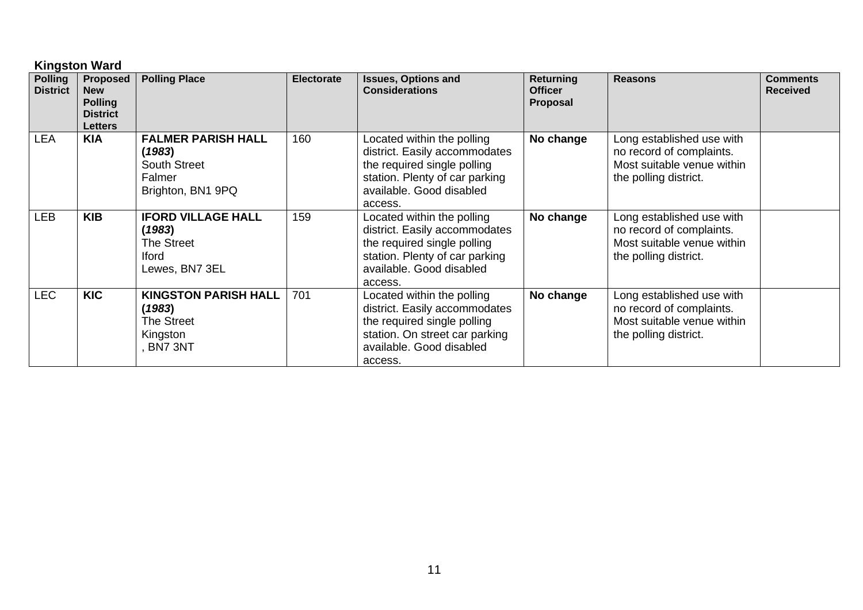# **Kingston Ward**

| <b>Polling</b><br><b>District</b> | <b>Proposed</b><br><b>New</b><br><b>Polling</b><br><b>District</b><br><b>Letters</b> | <b>Polling Place</b>                                                                       | <b>Electorate</b> | <b>Issues, Options and</b><br><b>Considerations</b>                                                                                                                 | <b>Returning</b><br><b>Officer</b><br><b>Proposal</b> | <b>Reasons</b>                                                                                               | <b>Comments</b><br><b>Received</b> |
|-----------------------------------|--------------------------------------------------------------------------------------|--------------------------------------------------------------------------------------------|-------------------|---------------------------------------------------------------------------------------------------------------------------------------------------------------------|-------------------------------------------------------|--------------------------------------------------------------------------------------------------------------|------------------------------------|
| <b>LEA</b>                        | <b>KIA</b>                                                                           | <b>FALMER PARISH HALL</b><br>(1983)<br><b>South Street</b><br>Falmer<br>Brighton, BN1 9PQ  | 160               | Located within the polling<br>district. Easily accommodates<br>the required single polling<br>station. Plenty of car parking<br>available. Good disabled<br>access. | No change                                             | Long established use with<br>no record of complaints.<br>Most suitable venue within<br>the polling district. |                                    |
| <b>LEB</b>                        | <b>KIB</b>                                                                           | <b>IFORD VILLAGE HALL</b><br>(1983)<br><b>The Street</b><br><b>Iford</b><br>Lewes, BN7 3EL | 159               | Located within the polling<br>district. Easily accommodates<br>the required single polling<br>station. Plenty of car parking<br>available. Good disabled<br>access. | No change                                             | Long established use with<br>no record of complaints.<br>Most suitable venue within<br>the polling district. |                                    |
| <b>LEC</b>                        | <b>KIC</b>                                                                           | <b>KINGSTON PARISH HALL</b><br>(1983)<br>The Street<br>Kingston<br>BN7 3NT                 | 701               | Located within the polling<br>district. Easily accommodates<br>the required single polling<br>station. On street car parking<br>available. Good disabled<br>access. | No change                                             | Long established use with<br>no record of complaints.<br>Most suitable venue within<br>the polling district. |                                    |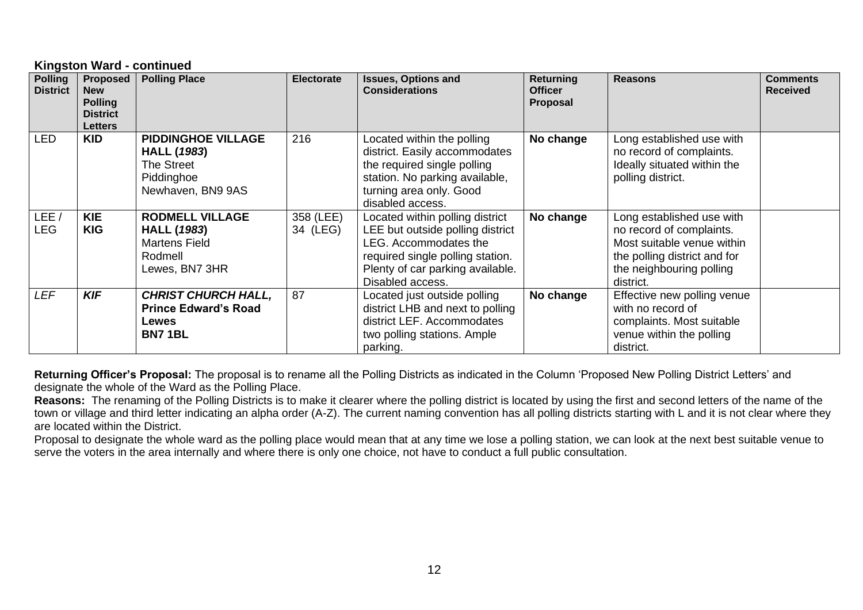#### **Kingston Ward - continued**

| <b>Polling</b><br><b>District</b> | <b>Proposed</b><br><b>New</b><br><b>Polling</b><br><b>District</b><br><b>Letters</b> | <b>Polling Place</b>                                                                              | <b>Electorate</b>     | <b>Issues, Options and</b><br><b>Considerations</b>                                                                                                                                      | <b>Returning</b><br><b>Officer</b><br>Proposal | <b>Reasons</b>                                                                                                                                               | <b>Comments</b><br><b>Received</b> |
|-----------------------------------|--------------------------------------------------------------------------------------|---------------------------------------------------------------------------------------------------|-----------------------|------------------------------------------------------------------------------------------------------------------------------------------------------------------------------------------|------------------------------------------------|--------------------------------------------------------------------------------------------------------------------------------------------------------------|------------------------------------|
| <b>LED</b>                        | <b>KID</b>                                                                           | <b>PIDDINGHOE VILLAGE</b><br><b>HALL (1983)</b><br>The Street<br>Piddinghoe<br>Newhaven, BN9 9AS  | 216                   | Located within the polling<br>district. Easily accommodates<br>the required single polling<br>station. No parking available,<br>turning area only. Good<br>disabled access.              | No change                                      | Long established use with<br>no record of complaints.<br>Ideally situated within the<br>polling district.                                                    |                                    |
| LEE,<br><b>LEG</b>                | <b>KIE</b><br><b>KIG</b>                                                             | <b>RODMELL VILLAGE</b><br><b>HALL (1983)</b><br><b>Martens Field</b><br>Rodmell<br>Lewes, BN7 3HR | 358 (LEE)<br>34 (LEG) | Located within polling district<br>LEE but outside polling district<br>LEG. Accommodates the<br>required single polling station.<br>Plenty of car parking available.<br>Disabled access. | No change                                      | Long established use with<br>no record of complaints.<br>Most suitable venue within<br>the polling district and for<br>the neighbouring polling<br>district. |                                    |
| <b>LEF</b>                        | <b>KIF</b>                                                                           | <b>CHRIST CHURCH HALL,</b><br><b>Prince Edward's Road</b><br>Lewes<br><b>BN71BL</b>               | 87                    | Located just outside polling<br>district LHB and next to polling<br>district LEF. Accommodates<br>two polling stations. Ample<br>parking.                                                | No change                                      | Effective new polling venue<br>with no record of<br>complaints. Most suitable<br>venue within the polling<br>district.                                       |                                    |

**Returning Officer's Proposal:** The proposal is to rename all the Polling Districts as indicated in the Column 'Proposed New Polling District Letters' and designate the whole of the Ward as the Polling Place.

**Reasons:** The renaming of the Polling Districts is to make it clearer where the polling district is located by using the first and second letters of the name of the town or village and third letter indicating an alpha order (A-Z). The current naming convention has all polling districts starting with L and it is not clear where they are located within the District.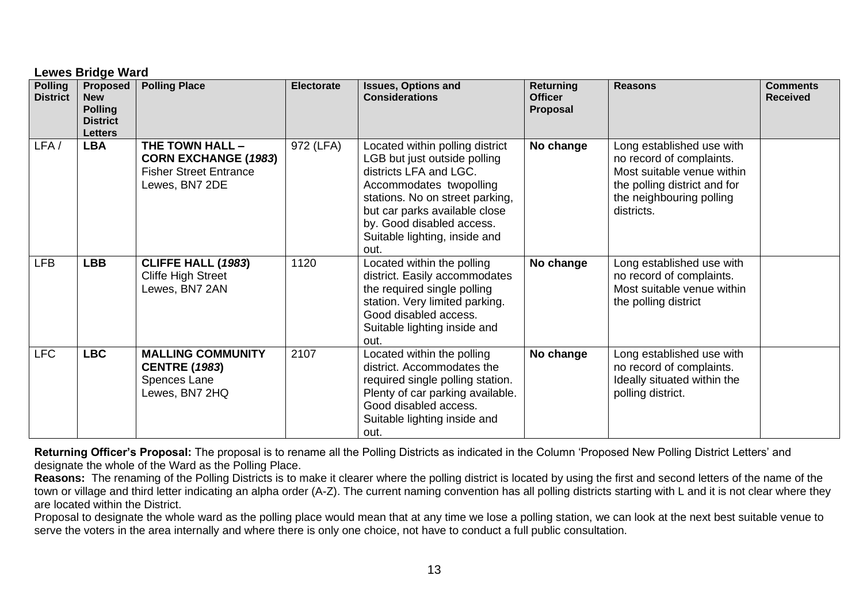|                                   | <b>Lewes Bridge Ward</b>                                                             |                                                                                                   |                   |                                                                                                                                                                                                                                                                |                                                |                                                                                                                                                               |                                    |  |  |  |
|-----------------------------------|--------------------------------------------------------------------------------------|---------------------------------------------------------------------------------------------------|-------------------|----------------------------------------------------------------------------------------------------------------------------------------------------------------------------------------------------------------------------------------------------------------|------------------------------------------------|---------------------------------------------------------------------------------------------------------------------------------------------------------------|------------------------------------|--|--|--|
| <b>Polling</b><br><b>District</b> | <b>Proposed</b><br><b>New</b><br><b>Polling</b><br><b>District</b><br><b>Letters</b> | <b>Polling Place</b>                                                                              | <b>Electorate</b> | <b>Issues, Options and</b><br><b>Considerations</b>                                                                                                                                                                                                            | <b>Returning</b><br><b>Officer</b><br>Proposal | <b>Reasons</b>                                                                                                                                                | <b>Comments</b><br><b>Received</b> |  |  |  |
| LFA/                              | <b>LBA</b>                                                                           | THE TOWN HALL -<br><b>CORN EXCHANGE (1983)</b><br><b>Fisher Street Entrance</b><br>Lewes, BN7 2DE | 972 (LFA)         | Located within polling district<br>LGB but just outside polling<br>districts LFA and LGC.<br>Accommodates twopolling<br>stations. No on street parking,<br>but car parks available close<br>by. Good disabled access.<br>Suitable lighting, inside and<br>out. | No change                                      | Long established use with<br>no record of complaints.<br>Most suitable venue within<br>the polling district and for<br>the neighbouring polling<br>districts. |                                    |  |  |  |
| <b>LFB</b>                        | <b>LBB</b>                                                                           | <b>CLIFFE HALL (1983)</b><br><b>Cliffe High Street</b><br>Lewes, BN7 2AN                          | 1120              | Located within the polling<br>district. Easily accommodates<br>the required single polling<br>station. Very limited parking.<br>Good disabled access.<br>Suitable lighting inside and<br>out.                                                                  | No change                                      | Long established use with<br>no record of complaints.<br>Most suitable venue within<br>the polling district                                                   |                                    |  |  |  |
| <b>LFC</b>                        | <b>LBC</b>                                                                           | <b>MALLING COMMUNITY</b><br><b>CENTRE (1983)</b><br>Spences Lane<br>Lewes, BN7 2HQ                | 2107              | Located within the polling<br>district. Accommodates the<br>required single polling station.<br>Plenty of car parking available.<br>Good disabled access.<br>Suitable lighting inside and<br>out.                                                              | No change                                      | Long established use with<br>no record of complaints.<br>Ideally situated within the<br>polling district.                                                     |                                    |  |  |  |

**Returning Officer's Proposal:** The proposal is to rename all the Polling Districts as indicated in the Column 'Proposed New Polling District Letters' and designate the whole of the Ward as the Polling Place.

**Reasons:** The renaming of the Polling Districts is to make it clearer where the polling district is located by using the first and second letters of the name of the town or village and third letter indicating an alpha order (A-Z). The current naming convention has all polling districts starting with L and it is not clear where they are located within the District.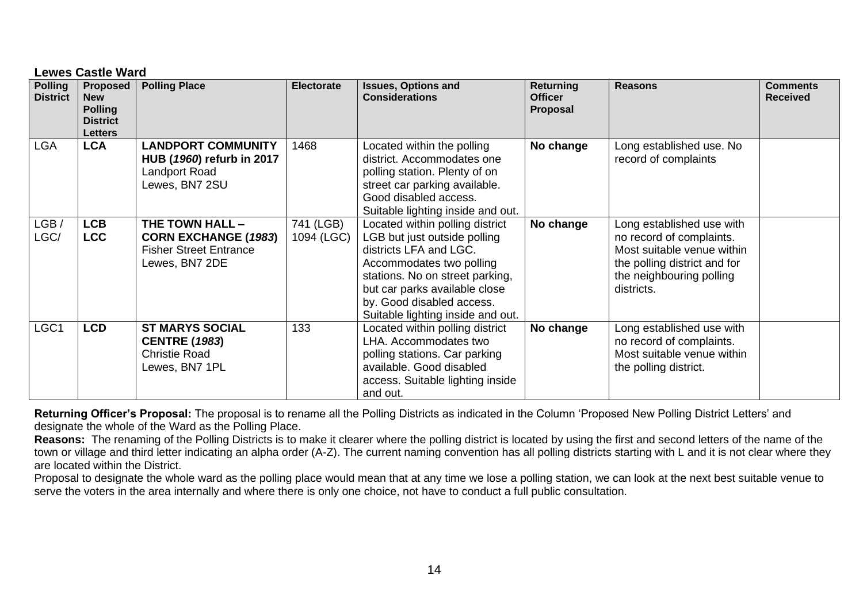|                                   | <b>Lewes Castle Ward</b>                                                      |                                                                                                   |                         |                                                                                                                                                                                                                                                             |                                                |                                                                                                                                                               |                                    |  |  |  |
|-----------------------------------|-------------------------------------------------------------------------------|---------------------------------------------------------------------------------------------------|-------------------------|-------------------------------------------------------------------------------------------------------------------------------------------------------------------------------------------------------------------------------------------------------------|------------------------------------------------|---------------------------------------------------------------------------------------------------------------------------------------------------------------|------------------------------------|--|--|--|
| <b>Polling</b><br><b>District</b> | Proposed<br><b>New</b><br><b>Polling</b><br><b>District</b><br><b>Letters</b> | <b>Polling Place</b>                                                                              | <b>Electorate</b>       | <b>Issues, Options and</b><br><b>Considerations</b>                                                                                                                                                                                                         | <b>Returning</b><br><b>Officer</b><br>Proposal | <b>Reasons</b>                                                                                                                                                | <b>Comments</b><br><b>Received</b> |  |  |  |
| <b>LGA</b>                        | <b>LCA</b>                                                                    | <b>LANDPORT COMMUNITY</b><br>HUB (1960) refurb in 2017<br>Landport Road<br>Lewes, BN7 2SU         | 1468                    | Located within the polling<br>district. Accommodates one<br>polling station. Plenty of on<br>street car parking available.<br>Good disabled access.<br>Suitable lighting inside and out.                                                                    | No change                                      | Long established use. No<br>record of complaints                                                                                                              |                                    |  |  |  |
| LGB/<br>LGC/                      | <b>LCB</b><br><b>LCC</b>                                                      | THE TOWN HALL -<br><b>CORN EXCHANGE (1983)</b><br><b>Fisher Street Entrance</b><br>Lewes, BN7 2DE | 741 (LGB)<br>1094 (LGC) | Located within polling district<br>LGB but just outside polling<br>districts LFA and LGC.<br>Accommodates two polling<br>stations. No on street parking,<br>but car parks available close<br>by. Good disabled access.<br>Suitable lighting inside and out. | No change                                      | Long established use with<br>no record of complaints.<br>Most suitable venue within<br>the polling district and for<br>the neighbouring polling<br>districts. |                                    |  |  |  |
| LGC1                              | <b>LCD</b>                                                                    | <b>ST MARYS SOCIAL</b><br><b>CENTRE (1983)</b><br>Christie Road<br>Lewes, BN7 1PL                 | 133                     | Located within polling district<br>LHA. Accommodates two<br>polling stations. Car parking<br>available. Good disabled<br>access. Suitable lighting inside<br>and out.                                                                                       | No change                                      | Long established use with<br>no record of complaints.<br>Most suitable venue within<br>the polling district.                                                  |                                    |  |  |  |

**Returning Officer's Proposal:** The proposal is to rename all the Polling Districts as indicated in the Column 'Proposed New Polling District Letters' and designate the whole of the Ward as the Polling Place.

**Reasons:** The renaming of the Polling Districts is to make it clearer where the polling district is located by using the first and second letters of the name of the town or village and third letter indicating an alpha order (A-Z). The current naming convention has all polling districts starting with L and it is not clear where they are located within the District.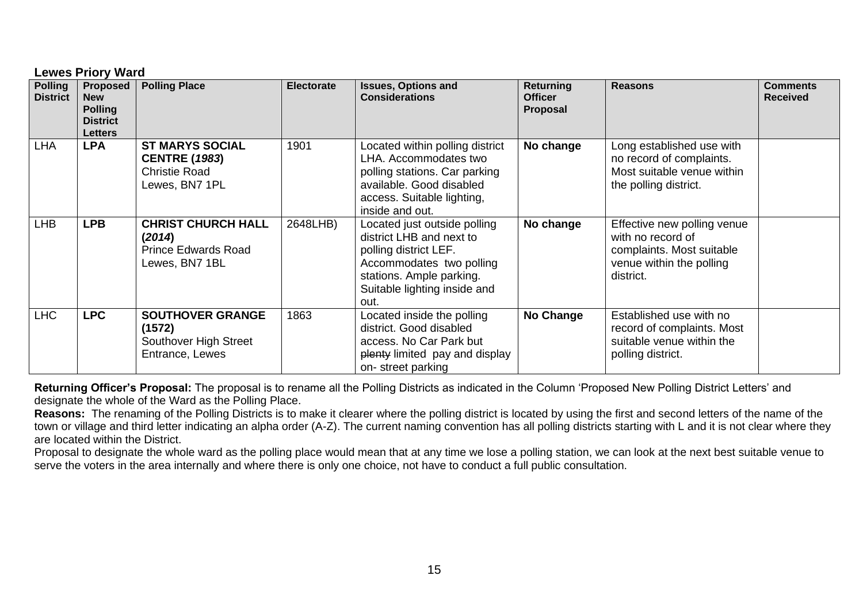| <b>Polling</b>  | Lewes Priory Ward<br><b>Proposed</b>                              | <b>Polling Place</b>                                                                     | <b>Electorate</b> | <b>Issues, Options and</b>                                                                                                                                                        | Returning                         | <b>Reasons</b>                                                                                                         | <b>Comments</b> |
|-----------------|-------------------------------------------------------------------|------------------------------------------------------------------------------------------|-------------------|-----------------------------------------------------------------------------------------------------------------------------------------------------------------------------------|-----------------------------------|------------------------------------------------------------------------------------------------------------------------|-----------------|
| <b>District</b> | <b>New</b><br><b>Polling</b><br><b>District</b><br><b>Letters</b> |                                                                                          |                   | <b>Considerations</b>                                                                                                                                                             | <b>Officer</b><br><b>Proposal</b> |                                                                                                                        | <b>Received</b> |
| <b>LHA</b>      | <b>LPA</b>                                                        | <b>ST MARYS SOCIAL</b><br><b>CENTRE (1983)</b><br><b>Christie Road</b><br>Lewes, BN7 1PL | 1901              | Located within polling district<br>LHA. Accommodates two<br>polling stations. Car parking<br>available. Good disabled<br>access. Suitable lighting,<br>inside and out.            | No change                         | Long established use with<br>no record of complaints.<br>Most suitable venue within<br>the polling district.           |                 |
| <b>LHB</b>      | <b>LPB</b>                                                        | <b>CHRIST CHURCH HALL</b><br>(2014)<br><b>Prince Edwards Road</b><br>Lewes, BN7 1BL      | 2648LHB)          | Located just outside polling<br>district LHB and next to<br>polling district LEF.<br>Accommodates two polling<br>stations. Ample parking.<br>Suitable lighting inside and<br>out. | No change                         | Effective new polling venue<br>with no record of<br>complaints. Most suitable<br>venue within the polling<br>district. |                 |
| <b>LHC</b>      | <b>LPC</b>                                                        | <b>SOUTHOVER GRANGE</b><br>(1572)<br>Southover High Street<br>Entrance, Lewes            | 1863              | Located inside the polling<br>district. Good disabled<br>access. No Car Park but<br>plenty limited pay and display<br>on-street parking                                           | No Change                         | Established use with no<br>record of complaints. Most<br>suitable venue within the<br>polling district.                |                 |

**Lewes Priory Ward**

**Returning Officer's Proposal:** The proposal is to rename all the Polling Districts as indicated in the Column 'Proposed New Polling District Letters' and designate the whole of the Ward as the Polling Place.

**Reasons:** The renaming of the Polling Districts is to make it clearer where the polling district is located by using the first and second letters of the name of the town or village and third letter indicating an alpha order (A-Z). The current naming convention has all polling districts starting with L and it is not clear where they are located within the District.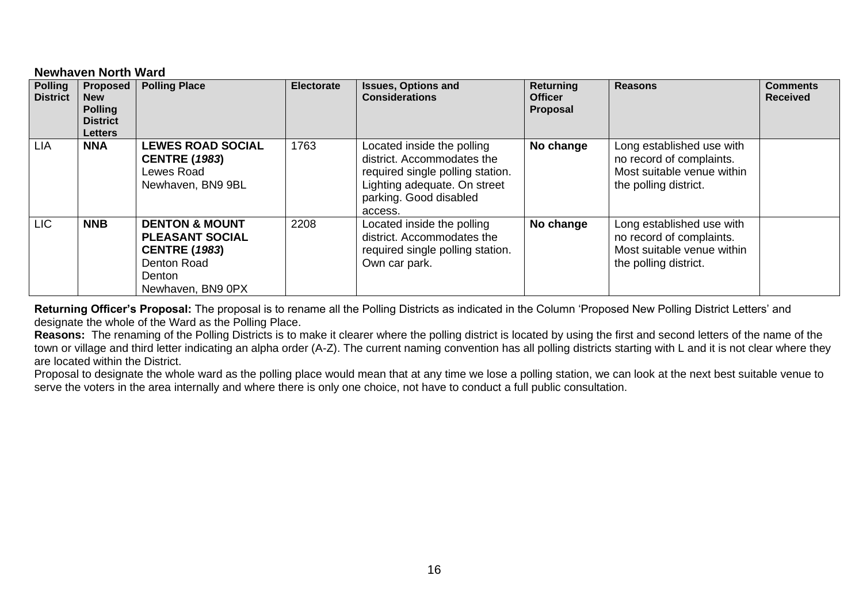#### **Newhaven North Ward**

| <b>Polling</b><br><b>District</b> | Proposed<br><b>New</b><br><b>Polling</b><br><b>District</b><br>Letters | <b>Polling Place</b>                                                                                                      | <b>Electorate</b> | <b>Issues, Options and</b><br><b>Considerations</b>                                                                                                               | Returning<br><b>Officer</b><br>Proposal | <b>Reasons</b>                                                                                               | <b>Comments</b><br><b>Received</b> |
|-----------------------------------|------------------------------------------------------------------------|---------------------------------------------------------------------------------------------------------------------------|-------------------|-------------------------------------------------------------------------------------------------------------------------------------------------------------------|-----------------------------------------|--------------------------------------------------------------------------------------------------------------|------------------------------------|
| LIA                               | <b>NNA</b>                                                             | <b>LEWES ROAD SOCIAL</b><br><b>CENTRE (1983)</b><br>Lewes Road<br>Newhaven, BN9 9BL                                       | 1763              | Located inside the polling<br>district. Accommodates the<br>required single polling station.<br>Lighting adequate. On street<br>parking. Good disabled<br>access. | No change                               | Long established use with<br>no record of complaints.<br>Most suitable venue within<br>the polling district. |                                    |
| <b>LIC</b>                        | <b>NNB</b>                                                             | <b>DENTON &amp; MOUNT</b><br><b>PLEASANT SOCIAL</b><br><b>CENTRE (1983)</b><br>Denton Road<br>Denton<br>Newhaven, BN9 0PX | 2208              | Located inside the polling<br>district. Accommodates the<br>required single polling station.<br>Own car park.                                                     | No change                               | Long established use with<br>no record of complaints.<br>Most suitable venue within<br>the polling district. |                                    |

**Returning Officer's Proposal:** The proposal is to rename all the Polling Districts as indicated in the Column 'Proposed New Polling District Letters' and designate the whole of the Ward as the Polling Place.

**Reasons:** The renaming of the Polling Districts is to make it clearer where the polling district is located by using the first and second letters of the name of the town or village and third letter indicating an alpha order (A-Z). The current naming convention has all polling districts starting with L and it is not clear where they are located within the District.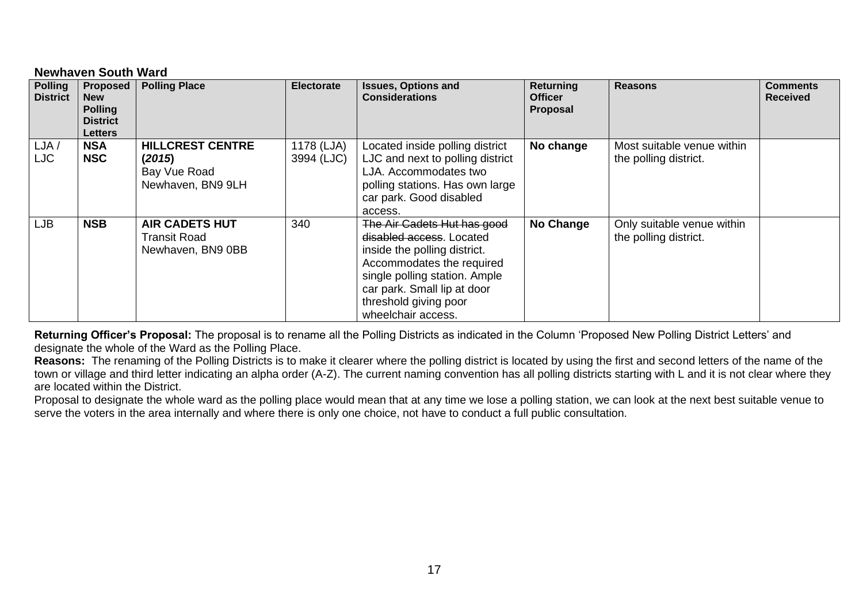# **Newhaven South Ward**

| <b>Polling</b><br><b>District</b> | <b>Proposed</b><br><b>New</b><br><b>Polling</b><br><b>District</b><br><b>Letters</b> | <b>Polling Place</b>                                                   | <b>Electorate</b>        | <b>Issues, Options and</b><br><b>Considerations</b>                                                                                                                                                                                 | Returning<br><b>Officer</b><br>Proposal | <b>Reasons</b>                                      | <b>Comments</b><br><b>Received</b> |
|-----------------------------------|--------------------------------------------------------------------------------------|------------------------------------------------------------------------|--------------------------|-------------------------------------------------------------------------------------------------------------------------------------------------------------------------------------------------------------------------------------|-----------------------------------------|-----------------------------------------------------|------------------------------------|
| LJA/<br>LJC                       | <b>NSA</b><br><b>NSC</b>                                                             | <b>HILLCREST CENTRE</b><br>(2015)<br>Bay Vue Road<br>Newhaven, BN9 9LH | 1178 (LJA)<br>3994 (LJC) | Located inside polling district<br>LJC and next to polling district<br>LJA. Accommodates two<br>polling stations. Has own large<br>car park. Good disabled<br>access.                                                               | No change                               | Most suitable venue within<br>the polling district. |                                    |
| LJB                               | <b>NSB</b>                                                                           | <b>AIR CADETS HUT</b><br>Transit Road<br>Newhaven, BN9 0BB             | 340                      | The Air Cadets Hut has good<br>disabled access. Located<br>inside the polling district.<br>Accommodates the required<br>single polling station. Ample<br>car park. Small lip at door<br>threshold giving poor<br>wheelchair access. | No Change                               | Only suitable venue within<br>the polling district. |                                    |

**Returning Officer's Proposal:** The proposal is to rename all the Polling Districts as indicated in the Column 'Proposed New Polling District Letters' and designate the whole of the Ward as the Polling Place.

**Reasons:** The renaming of the Polling Districts is to make it clearer where the polling district is located by using the first and second letters of the name of the town or village and third letter indicating an alpha order (A-Z). The current naming convention has all polling districts starting with L and it is not clear where they are located within the District.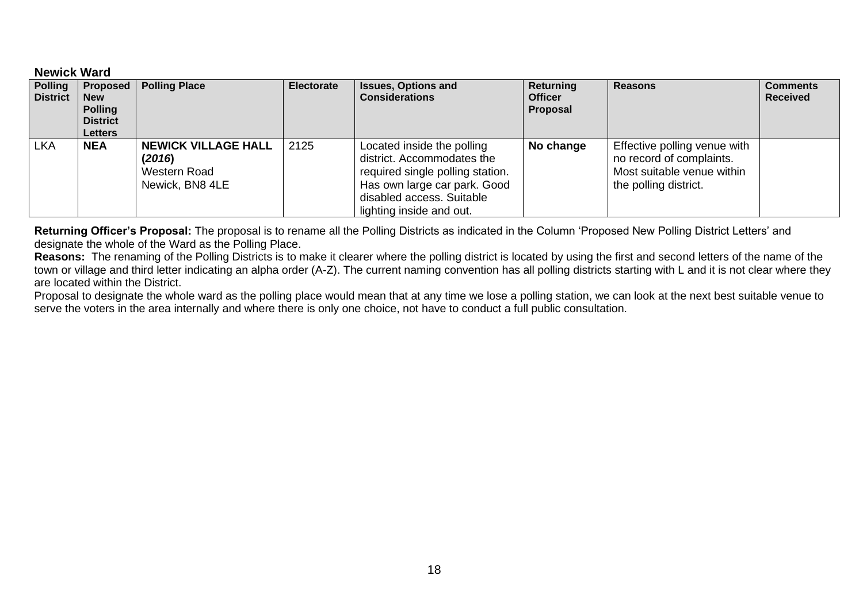#### **Newick Ward**

| <b>Polling</b><br><b>District</b> | Proposed  <br><b>New</b><br><b>Polling</b><br><b>District</b><br><b>Letters</b> | <b>Polling Place</b>                                                    | <b>Electorate</b> | <b>Issues, Options and</b><br><b>Considerations</b>                                                                                                                                   | Returning<br><b>Officer</b><br>Proposal | <b>Reasons</b>                                                                                                  | <b>Comments</b><br><b>Received</b> |
|-----------------------------------|---------------------------------------------------------------------------------|-------------------------------------------------------------------------|-------------------|---------------------------------------------------------------------------------------------------------------------------------------------------------------------------------------|-----------------------------------------|-----------------------------------------------------------------------------------------------------------------|------------------------------------|
| <b>LKA</b>                        | <b>NEA</b>                                                                      | <b>NEWICK VILLAGE HALL</b><br>(2016)<br>Western Road<br>Newick, BN8 4LE | 2125              | Located inside the polling<br>district. Accommodates the<br>required single polling station.<br>Has own large car park. Good<br>disabled access. Suitable<br>lighting inside and out. | No change                               | Effective polling venue with<br>no record of complaints.<br>Most suitable venue within<br>the polling district. |                                    |

**Returning Officer's Proposal:** The proposal is to rename all the Polling Districts as indicated in the Column 'Proposed New Polling District Letters' and designate the whole of the Ward as the Polling Place.

**Reasons:** The renaming of the Polling Districts is to make it clearer where the polling district is located by using the first and second letters of the name of the town or village and third letter indicating an alpha order (A-Z). The current naming convention has all polling districts starting with L and it is not clear where they are located within the District.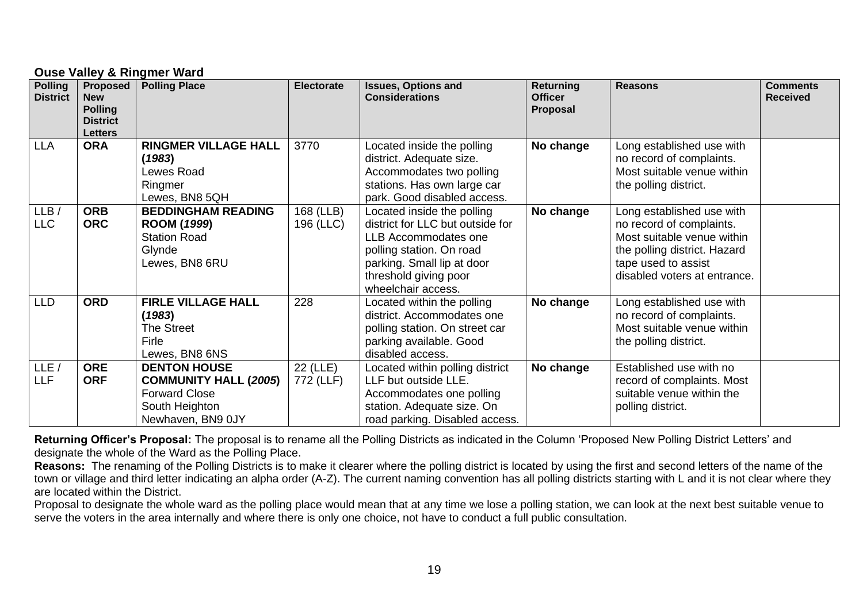# **Ouse Valley & Ringmer Ward**

| <b>Polling</b><br><b>District</b> | <b>Proposed</b><br><b>New</b><br><b>Polling</b><br><b>District</b><br><b>Letters</b> | <b>Polling Place</b>                                                                                               | <b>Electorate</b>      | <b>Issues, Options and</b><br><b>Considerations</b>                                                                                                                                             | <b>Returning</b><br><b>Officer</b><br>Proposal | <b>Reasons</b>                                                                                                                                                             | <b>Comments</b><br><b>Received</b> |
|-----------------------------------|--------------------------------------------------------------------------------------|--------------------------------------------------------------------------------------------------------------------|------------------------|-------------------------------------------------------------------------------------------------------------------------------------------------------------------------------------------------|------------------------------------------------|----------------------------------------------------------------------------------------------------------------------------------------------------------------------------|------------------------------------|
| <b>LLA</b>                        | <b>ORA</b>                                                                           | <b>RINGMER VILLAGE HALL</b><br>(1983)<br>Lewes Road<br>Ringmer<br>Lewes, BN8 5QH                                   | 3770                   | Located inside the polling<br>district. Adequate size.<br>Accommodates two polling<br>stations. Has own large car<br>park. Good disabled access.                                                | No change                                      | Long established use with<br>no record of complaints.<br>Most suitable venue within<br>the polling district.                                                               |                                    |
| LLB/<br><b>LLC</b>                | <b>ORB</b><br><b>ORC</b>                                                             | <b>BEDDINGHAM READING</b><br><b>ROOM (1999)</b><br><b>Station Road</b><br>Glynde<br>Lewes, BN8 6RU                 | 168 (LLB)<br>196 (LLC) | Located inside the polling<br>district for LLC but outside for<br>LLB Accommodates one<br>polling station. On road<br>parking. Small lip at door<br>threshold giving poor<br>wheelchair access. | No change                                      | Long established use with<br>no record of complaints.<br>Most suitable venue within<br>the polling district. Hazard<br>tape used to assist<br>disabled voters at entrance. |                                    |
| <b>LLD</b>                        | <b>ORD</b>                                                                           | <b>FIRLE VILLAGE HALL</b><br>(1983)<br><b>The Street</b><br>Firle<br>Lewes, BN8 6NS                                | 228                    | Located within the polling<br>district. Accommodates one<br>polling station. On street car<br>parking available. Good<br>disabled access.                                                       | No change                                      | Long established use with<br>no record of complaints.<br>Most suitable venue within<br>the polling district.                                                               |                                    |
| LLE<br><b>LLF</b>                 | <b>ORE</b><br><b>ORF</b>                                                             | <b>DENTON HOUSE</b><br><b>COMMUNITY HALL (2005)</b><br><b>Forward Close</b><br>South Heighton<br>Newhaven, BN9 0JY | 22 (LLE)<br>772 (LLF)  | Located within polling district<br>LLF but outside LLE.<br>Accommodates one polling<br>station. Adequate size. On<br>road parking. Disabled access.                                             | No change                                      | Established use with no<br>record of complaints. Most<br>suitable venue within the<br>polling district.                                                                    |                                    |

**Returning Officer's Proposal:** The proposal is to rename all the Polling Districts as indicated in the Column 'Proposed New Polling District Letters' and designate the whole of the Ward as the Polling Place.

**Reasons:** The renaming of the Polling Districts is to make it clearer where the polling district is located by using the first and second letters of the name of the town or village and third letter indicating an alpha order (A-Z). The current naming convention has all polling districts starting with L and it is not clear where they are located within the District.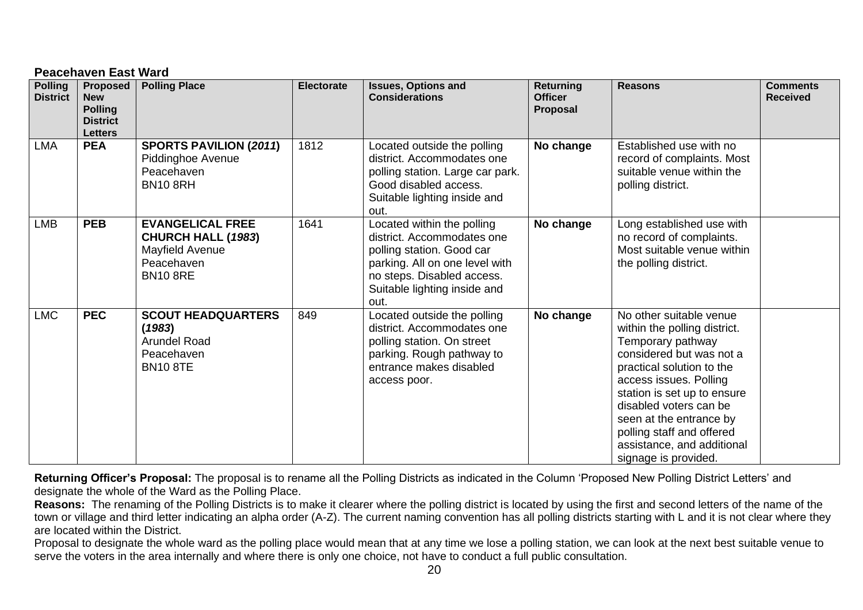# **Peacehaven East Ward**

| <b>Polling</b><br><b>District</b> | Proposed<br><b>New</b><br><b>Polling</b><br><b>District</b><br><b>Letters</b> | <b>Polling Place</b>                                                                                     | <b>Electorate</b> | <b>Issues, Options and</b><br><b>Considerations</b>                                                                                                                                           | <b>Returning</b><br><b>Officer</b><br>Proposal | <b>Reasons</b>                                                                                                                                                                                                                                                                                                                         | <b>Comments</b><br><b>Received</b> |
|-----------------------------------|-------------------------------------------------------------------------------|----------------------------------------------------------------------------------------------------------|-------------------|-----------------------------------------------------------------------------------------------------------------------------------------------------------------------------------------------|------------------------------------------------|----------------------------------------------------------------------------------------------------------------------------------------------------------------------------------------------------------------------------------------------------------------------------------------------------------------------------------------|------------------------------------|
| <b>LMA</b>                        | <b>PEA</b>                                                                    | <b>SPORTS PAVILION (2011)</b><br>Piddinghoe Avenue<br>Peacehaven<br><b>BN10 8RH</b>                      | 1812              | Located outside the polling<br>district. Accommodates one<br>polling station. Large car park.<br>Good disabled access.<br>Suitable lighting inside and<br>out.                                | No change                                      | Established use with no<br>record of complaints. Most<br>suitable venue within the<br>polling district.                                                                                                                                                                                                                                |                                    |
| <b>LMB</b>                        | <b>PEB</b>                                                                    | <b>EVANGELICAL FREE</b><br><b>CHURCH HALL (1983)</b><br>Mayfield Avenue<br>Peacehaven<br><b>BN10 8RE</b> | 1641              | Located within the polling<br>district. Accommodates one<br>polling station. Good car<br>parking. All on one level with<br>no steps. Disabled access.<br>Suitable lighting inside and<br>out. | No change                                      | Long established use with<br>no record of complaints.<br>Most suitable venue within<br>the polling district.                                                                                                                                                                                                                           |                                    |
| <b>LMC</b>                        | <b>PEC</b>                                                                    | <b>SCOUT HEADQUARTERS</b><br>(1983)<br><b>Arundel Road</b><br>Peacehaven<br><b>BN10 8TE</b>              | 849               | Located outside the polling<br>district. Accommodates one<br>polling station. On street<br>parking. Rough pathway to<br>entrance makes disabled<br>access poor.                               | No change                                      | No other suitable venue<br>within the polling district.<br>Temporary pathway<br>considered but was not a<br>practical solution to the<br>access issues. Polling<br>station is set up to ensure<br>disabled voters can be<br>seen at the entrance by<br>polling staff and offered<br>assistance, and additional<br>signage is provided. |                                    |

**Returning Officer's Proposal:** The proposal is to rename all the Polling Districts as indicated in the Column 'Proposed New Polling District Letters' and designate the whole of the Ward as the Polling Place.

**Reasons:** The renaming of the Polling Districts is to make it clearer where the polling district is located by using the first and second letters of the name of the town or village and third letter indicating an alpha order (A-Z). The current naming convention has all polling districts starting with L and it is not clear where they are located within the District.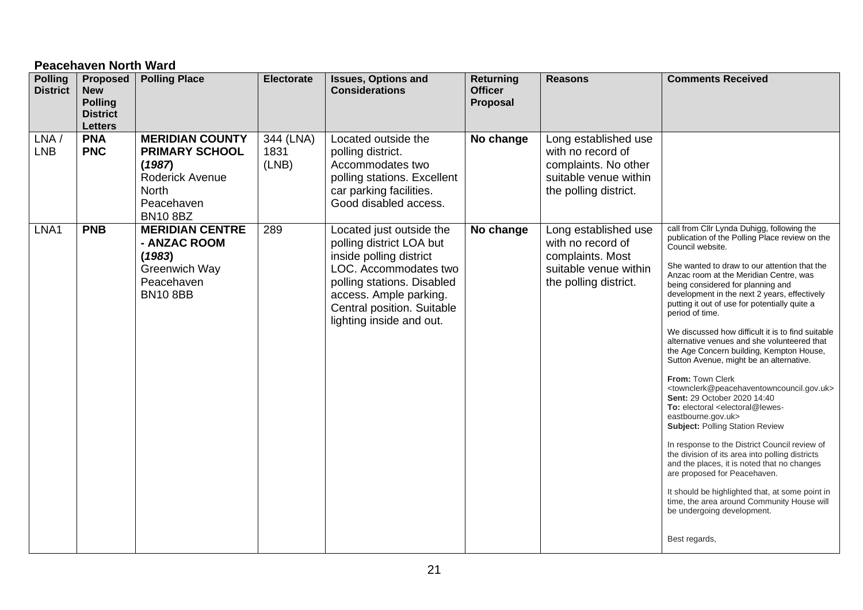# **Peacehaven North Ward**

| <b>Polling</b><br><b>District</b> | <b>Proposed</b><br><b>New</b><br><b>Polling</b><br><b>District</b><br><b>Letters</b> | <b>Polling Place</b>                                                                                                          | <b>Electorate</b>          | <b>Issues, Options and</b><br><b>Considerations</b>                                                                                                                                                                        | Returning<br><b>Officer</b><br>Proposal | <b>Reasons</b>                                                                                                      | <b>Comments Received</b>                                                                                                                                                                                                                                                                                                                                                                                                                                                                                                                                                                                                                                                                                                                                                                                                                                                                                                                                                                                                                                                                                                                                                         |
|-----------------------------------|--------------------------------------------------------------------------------------|-------------------------------------------------------------------------------------------------------------------------------|----------------------------|----------------------------------------------------------------------------------------------------------------------------------------------------------------------------------------------------------------------------|-----------------------------------------|---------------------------------------------------------------------------------------------------------------------|----------------------------------------------------------------------------------------------------------------------------------------------------------------------------------------------------------------------------------------------------------------------------------------------------------------------------------------------------------------------------------------------------------------------------------------------------------------------------------------------------------------------------------------------------------------------------------------------------------------------------------------------------------------------------------------------------------------------------------------------------------------------------------------------------------------------------------------------------------------------------------------------------------------------------------------------------------------------------------------------------------------------------------------------------------------------------------------------------------------------------------------------------------------------------------|
| LNA/<br><b>LNB</b>                | <b>PNA</b><br><b>PNC</b>                                                             | <b>MERIDIAN COUNTY</b><br><b>PRIMARY SCHOOL</b><br>(1987)<br>Roderick Avenue<br><b>North</b><br>Peacehaven<br><b>BN10 8BZ</b> | 344 (LNA)<br>1831<br>(LNB) | Located outside the<br>polling district.<br>Accommodates two<br>polling stations. Excellent<br>car parking facilities.<br>Good disabled access.                                                                            | No change                               | Long established use<br>with no record of<br>complaints. No other<br>suitable venue within<br>the polling district. |                                                                                                                                                                                                                                                                                                                                                                                                                                                                                                                                                                                                                                                                                                                                                                                                                                                                                                                                                                                                                                                                                                                                                                                  |
| LNA1                              | <b>PNB</b>                                                                           | <b>MERIDIAN CENTRE</b><br>- ANZAC ROOM<br>(1983)<br>Greenwich Way<br>Peacehaven<br><b>BN10 8BB</b>                            | 289                        | Located just outside the<br>polling district LOA but<br>inside polling district<br>LOC. Accommodates two<br>polling stations. Disabled<br>access. Ample parking.<br>Central position. Suitable<br>lighting inside and out. | No change                               | Long established use<br>with no record of<br>complaints. Most<br>suitable venue within<br>the polling district.     | call from Cllr Lynda Duhigg, following the<br>publication of the Polling Place review on the<br>Council website.<br>She wanted to draw to our attention that the<br>Anzac room at the Meridian Centre, was<br>being considered for planning and<br>development in the next 2 years, effectively<br>putting it out of use for potentially quite a<br>period of time.<br>We discussed how difficult it is to find suitable<br>alternative venues and she volunteered that<br>the Age Concern building, Kempton House,<br>Sutton Avenue, might be an alternative.<br>From: Town Clerk<br><townclerk@peacehaventowncouncil.gov.uk><br/>Sent: 29 October 2020 14:40<br/>To: electoral <electoral@lewes-<br>eastbourne.gov.uk&gt;<br/><b>Subject: Polling Station Review</b><br/>In response to the District Council review of<br/>the division of its area into polling districts<br/>and the places, it is noted that no changes<br/>are proposed for Peacehaven.<br/>It should be highlighted that, at some point in<br/>time, the area around Community House will<br/>be undergoing development.<br/>Best regards,</electoral@lewes-<br></townclerk@peacehaventowncouncil.gov.uk> |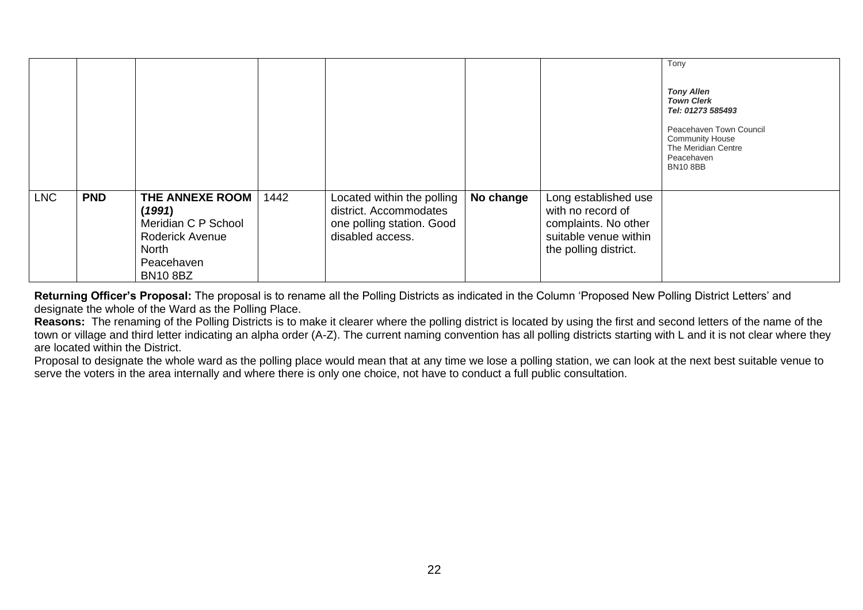|            |            |                                                                                                               |      |                                                                                                       |           |                                                                                                                     | Tony<br><b>Tony Allen</b><br><b>Town Clerk</b><br>Tel: 01273 585493<br>Peacehaven Town Council<br><b>Community House</b><br>The Meridian Centre<br>Peacehaven<br><b>BN10 8BB</b> |
|------------|------------|---------------------------------------------------------------------------------------------------------------|------|-------------------------------------------------------------------------------------------------------|-----------|---------------------------------------------------------------------------------------------------------------------|----------------------------------------------------------------------------------------------------------------------------------------------------------------------------------|
| <b>LNC</b> | <b>PND</b> | THE ANNEXE ROOM<br>(1991)<br>Meridian C P School<br>Roderick Avenue<br>North<br>Peacehaven<br><b>BN10 8BZ</b> | 1442 | Located within the polling<br>district. Accommodates<br>one polling station. Good<br>disabled access. | No change | Long established use<br>with no record of<br>complaints. No other<br>suitable venue within<br>the polling district. |                                                                                                                                                                                  |

**Returning Officer's Proposal:** The proposal is to rename all the Polling Districts as indicated in the Column 'Proposed New Polling District Letters' and designate the whole of the Ward as the Polling Place.

**Reasons:** The renaming of the Polling Districts is to make it clearer where the polling district is located by using the first and second letters of the name of the town or village and third letter indicating an alpha order (A-Z). The current naming convention has all polling districts starting with L and it is not clear where they are located within the District.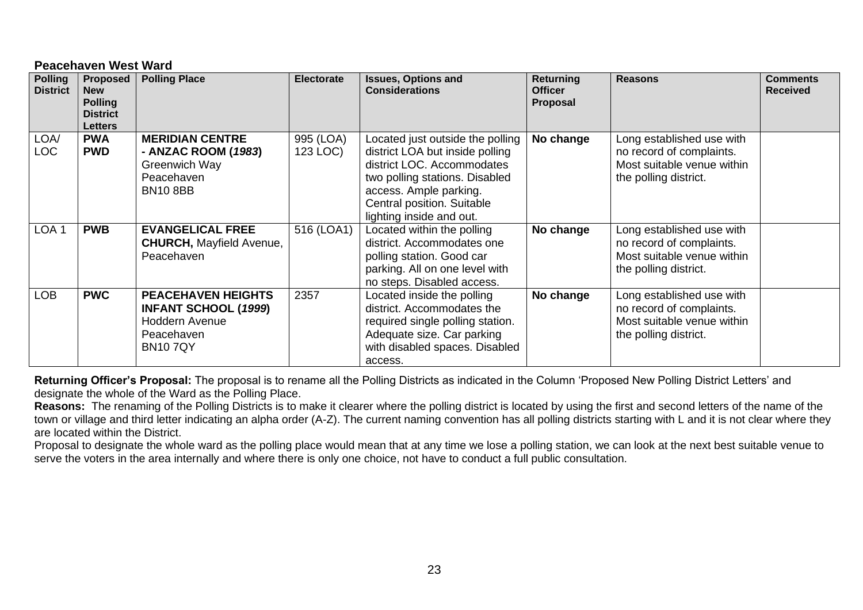#### **Peacehaven West Ward**

| <b>Polling</b><br><b>District</b> | <b>Proposed</b><br><b>New</b><br><b>Polling</b><br><b>District</b><br><b>Letters</b> | <b>Polling Place</b>                                                                                              | <b>Electorate</b>     | <b>Issues, Options and</b><br><b>Considerations</b>                                                                                                                                                                     | Returning<br><b>Officer</b><br>Proposal | <b>Reasons</b>                                                                                               | <b>Comments</b><br><b>Received</b> |
|-----------------------------------|--------------------------------------------------------------------------------------|-------------------------------------------------------------------------------------------------------------------|-----------------------|-------------------------------------------------------------------------------------------------------------------------------------------------------------------------------------------------------------------------|-----------------------------------------|--------------------------------------------------------------------------------------------------------------|------------------------------------|
| LOA/<br><b>LOC</b>                | <b>PWA</b><br><b>PWD</b>                                                             | <b>MERIDIAN CENTRE</b><br>- ANZAC ROOM (1983)<br>Greenwich Way<br>Peacehaven<br><b>BN10 8BB</b>                   | 995 (LOA)<br>123 LOC) | Located just outside the polling<br>district LOA but inside polling<br>district LOC. Accommodates<br>two polling stations. Disabled<br>access. Ample parking.<br>Central position. Suitable<br>lighting inside and out. | No change                               | Long established use with<br>no record of complaints.<br>Most suitable venue within<br>the polling district. |                                    |
| LOA <sub>1</sub>                  | <b>PWB</b>                                                                           | <b>EVANGELICAL FREE</b><br><b>CHURCH, Mayfield Avenue,</b><br>Peacehaven                                          | 516 (LOA1)            | Located within the polling<br>district. Accommodates one<br>polling station. Good car<br>parking. All on one level with<br>no steps. Disabled access.                                                                   | No change                               | Long established use with<br>no record of complaints.<br>Most suitable venue within<br>the polling district. |                                    |
| LOB                               | <b>PWC</b>                                                                           | <b>PEACEHAVEN HEIGHTS</b><br><b>INFANT SCHOOL (1999)</b><br><b>Hoddern Avenue</b><br>Peacehaven<br><b>BN107QY</b> | 2357                  | Located inside the polling<br>district. Accommodates the<br>required single polling station.<br>Adequate size. Car parking<br>with disabled spaces. Disabled<br>access.                                                 | No change                               | Long established use with<br>no record of complaints.<br>Most suitable venue within<br>the polling district. |                                    |

**Returning Officer's Proposal:** The proposal is to rename all the Polling Districts as indicated in the Column 'Proposed New Polling District Letters' and designate the whole of the Ward as the Polling Place.

**Reasons:** The renaming of the Polling Districts is to make it clearer where the polling district is located by using the first and second letters of the name of the town or village and third letter indicating an alpha order (A-Z). The current naming convention has all polling districts starting with L and it is not clear where they are located within the District.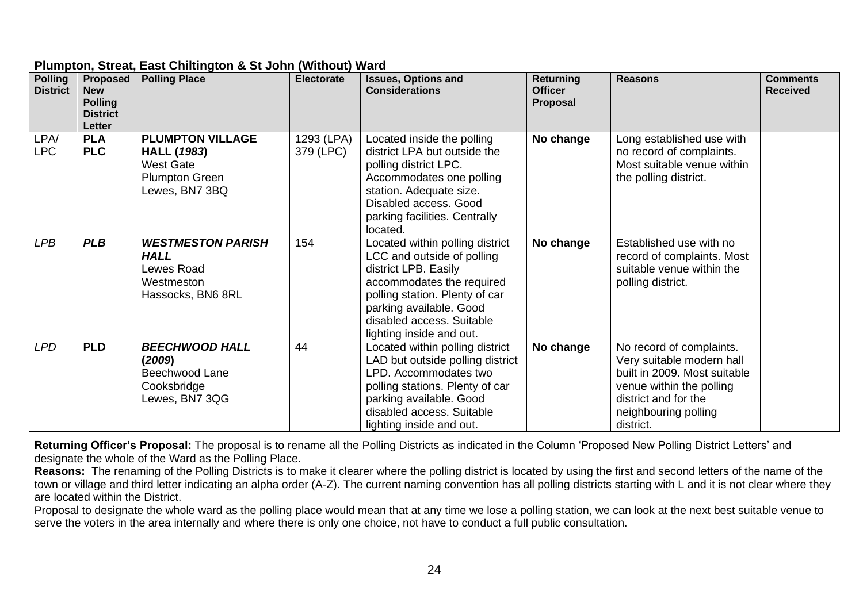| <b>Polling</b><br><b>District</b> | Proposed  <br><b>New</b><br><b>Polling</b><br><b>District</b><br>Letter | <b>Polling Place</b>                                                                                         | Electorate              | <b>Issues, Options and</b><br><b>Considerations</b>                                                                                                                                                                                      | Returning<br><b>Officer</b><br>Proposal | <b>Reasons</b>                                                                                                                                                                 | <b>Comments</b><br><b>Received</b> |
|-----------------------------------|-------------------------------------------------------------------------|--------------------------------------------------------------------------------------------------------------|-------------------------|------------------------------------------------------------------------------------------------------------------------------------------------------------------------------------------------------------------------------------------|-----------------------------------------|--------------------------------------------------------------------------------------------------------------------------------------------------------------------------------|------------------------------------|
| LPA/<br><b>LPC</b>                | <b>PLA</b><br><b>PLC</b>                                                | <b>PLUMPTON VILLAGE</b><br><b>HALL (1983)</b><br><b>West Gate</b><br><b>Plumpton Green</b><br>Lewes, BN7 3BQ | 1293 (LPA)<br>379 (LPC) | Located inside the polling<br>district LPA but outside the<br>polling district LPC.<br>Accommodates one polling<br>station. Adequate size.<br>Disabled access. Good<br>parking facilities. Centrally<br>located.                         | No change                               | Long established use with<br>no record of complaints.<br>Most suitable venue within<br>the polling district.                                                                   |                                    |
| <b>LPB</b>                        | <b>PLB</b>                                                              | <b>WESTMESTON PARISH</b><br><b>HALL</b><br>Lewes Road<br>Westmeston<br>Hassocks, BN6 8RL                     | 154                     | Located within polling district<br>LCC and outside of polling<br>district LPB. Easily<br>accommodates the required<br>polling station. Plenty of car<br>parking available. Good<br>disabled access. Suitable<br>lighting inside and out. | No change                               | Established use with no<br>record of complaints. Most<br>suitable venue within the<br>polling district.                                                                        |                                    |
| <b>LPD</b>                        | <b>PLD</b>                                                              | <b>BEECHWOOD HALL</b><br>(2009)<br>Beechwood Lane<br>Cooksbridge<br>Lewes, BN7 3QG                           | 44                      | Located within polling district<br>LAD but outside polling district<br>LPD. Accommodates two<br>polling stations. Plenty of car<br>parking available. Good<br>disabled access. Suitable<br>lighting inside and out.                      | No change                               | No record of complaints.<br>Very suitable modern hall<br>built in 2009. Most suitable<br>venue within the polling<br>district and for the<br>neighbouring polling<br>district. |                                    |

#### **Plumpton, Streat, East Chiltington & St John (Without) Ward**

**Returning Officer's Proposal:** The proposal is to rename all the Polling Districts as indicated in the Column 'Proposed New Polling District Letters' and designate the whole of the Ward as the Polling Place.

**Reasons:** The renaming of the Polling Districts is to make it clearer where the polling district is located by using the first and second letters of the name of the town or village and third letter indicating an alpha order (A-Z). The current naming convention has all polling districts starting with L and it is not clear where they are located within the District.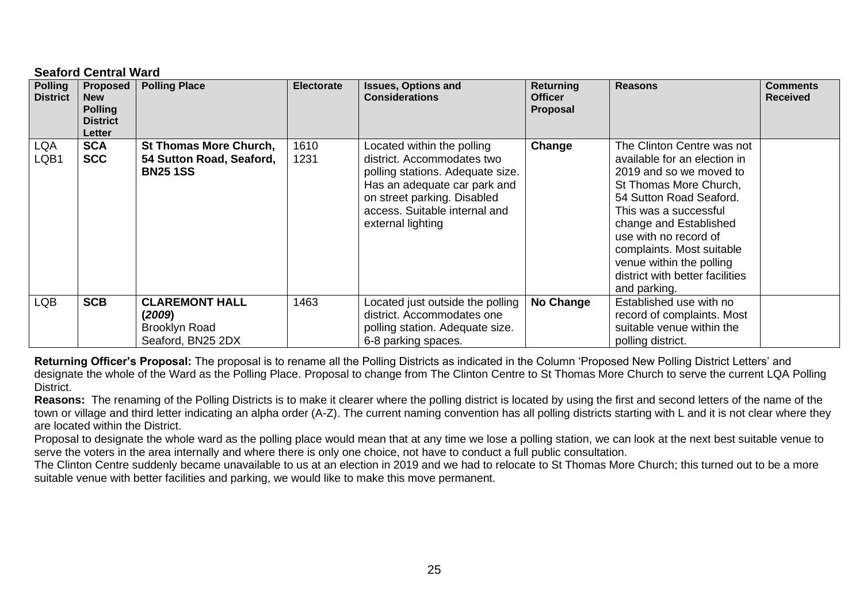#### **Seaford Central Ward**

| <b>Polling</b><br><b>District</b> | <b>Proposed</b><br><b>New</b><br><b>Polling</b><br><b>District</b><br>Letter | <b>Polling Place</b>                                                         | <b>Electorate</b> | <b>Issues, Options and</b><br><b>Considerations</b>                                                                                                                                                               | <b>Returning</b><br><b>Officer</b><br>Proposal | <b>Reasons</b>                                                                                                                                                                                                                                                                                                                     | <b>Comments</b><br><b>Received</b> |
|-----------------------------------|------------------------------------------------------------------------------|------------------------------------------------------------------------------|-------------------|-------------------------------------------------------------------------------------------------------------------------------------------------------------------------------------------------------------------|------------------------------------------------|------------------------------------------------------------------------------------------------------------------------------------------------------------------------------------------------------------------------------------------------------------------------------------------------------------------------------------|------------------------------------|
| LQA<br>LQB1                       | <b>SCA</b><br><b>SCC</b>                                                     | <b>St Thomas More Church,</b><br>54 Sutton Road, Seaford,<br><b>BN25 1SS</b> | 1610<br>1231      | Located within the polling<br>district. Accommodates two<br>polling stations. Adequate size.<br>Has an adequate car park and<br>on street parking. Disabled<br>access. Suitable internal and<br>external lighting | Change                                         | The Clinton Centre was not<br>available for an election in<br>2019 and so we moved to<br>St Thomas More Church,<br>54 Sutton Road Seaford.<br>This was a successful<br>change and Established<br>use with no record of<br>complaints. Most suitable<br>venue within the polling<br>district with better facilities<br>and parking. |                                    |
| <b>LQB</b>                        | <b>SCB</b>                                                                   | <b>CLAREMONT HALL</b><br>(2009)<br><b>Brooklyn Road</b><br>Seaford, BN25 2DX | 1463              | Located just outside the polling<br>district. Accommodates one<br>polling station. Adequate size.<br>6-8 parking spaces.                                                                                          | No Change                                      | Established use with no<br>record of complaints. Most<br>suitable venue within the<br>polling district.                                                                                                                                                                                                                            |                                    |

**Returning Officer's Proposal:** The proposal is to rename all the Polling Districts as indicated in the Column 'Proposed New Polling District Letters' and designate the whole of the Ward as the Polling Place. Proposal to change from The Clinton Centre to St Thomas More Church to serve the current LQA Polling **District.** 

**Reasons:** The renaming of the Polling Districts is to make it clearer where the polling district is located by using the first and second letters of the name of the town or village and third letter indicating an alpha order (A-Z). The current naming convention has all polling districts starting with L and it is not clear where they are located within the District.

Proposal to designate the whole ward as the polling place would mean that at any time we lose a polling station, we can look at the next best suitable venue to serve the voters in the area internally and where there is only one choice, not have to conduct a full public consultation.

The Clinton Centre suddenly became unavailable to us at an election in 2019 and we had to relocate to St Thomas More Church; this turned out to be a more suitable venue with better facilities and parking, we would like to make this move permanent.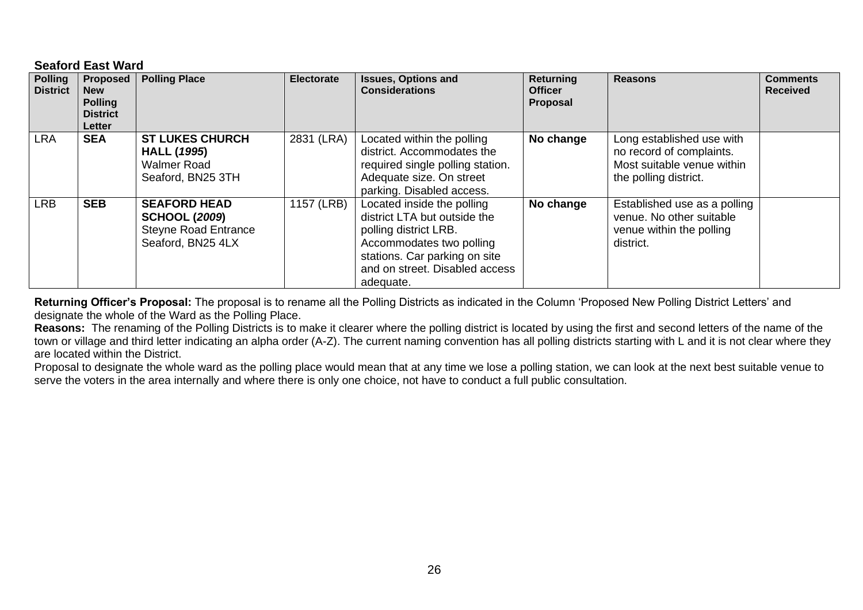#### **Seaford East Ward**

| <b>Polling</b><br><b>District</b> | <b>Proposed</b><br><b>New</b><br><b>Polling</b><br><b>District</b><br><b>Letter</b> | <b>Polling Place</b>                                                                            | <b>Electorate</b> | <b>Issues, Options and</b><br><b>Considerations</b>                                                                                                                                             | <b>Returning</b><br><b>Officer</b><br>Proposal | <b>Reasons</b>                                                                                               | <b>Comments</b><br><b>Received</b> |
|-----------------------------------|-------------------------------------------------------------------------------------|-------------------------------------------------------------------------------------------------|-------------------|-------------------------------------------------------------------------------------------------------------------------------------------------------------------------------------------------|------------------------------------------------|--------------------------------------------------------------------------------------------------------------|------------------------------------|
| LRA                               | <b>SEA</b>                                                                          | <b>ST LUKES CHURCH</b><br><b>HALL (1995)</b><br><b>Walmer Road</b><br>Seaford, BN25 3TH         | 2831 (LRA)        | Located within the polling<br>district. Accommodates the<br>required single polling station.<br>Adequate size. On street<br>parking. Disabled access.                                           | No change                                      | Long established use with<br>no record of complaints.<br>Most suitable venue within<br>the polling district. |                                    |
| LRB                               | <b>SEB</b>                                                                          | <b>SEAFORD HEAD</b><br><b>SCHOOL (2009)</b><br><b>Steyne Road Entrance</b><br>Seaford, BN25 4LX | 1157 (LRB)        | Located inside the polling<br>district LTA but outside the<br>polling district LRB.<br>Accommodates two polling<br>stations. Car parking on site<br>and on street. Disabled access<br>adequate. | No change                                      | Established use as a polling<br>venue. No other suitable<br>venue within the polling<br>district.            |                                    |

**Returning Officer's Proposal:** The proposal is to rename all the Polling Districts as indicated in the Column 'Proposed New Polling District Letters' and designate the whole of the Ward as the Polling Place.

**Reasons:** The renaming of the Polling Districts is to make it clearer where the polling district is located by using the first and second letters of the name of the town or village and third letter indicating an alpha order (A-Z). The current naming convention has all polling districts starting with L and it is not clear where they are located within the District.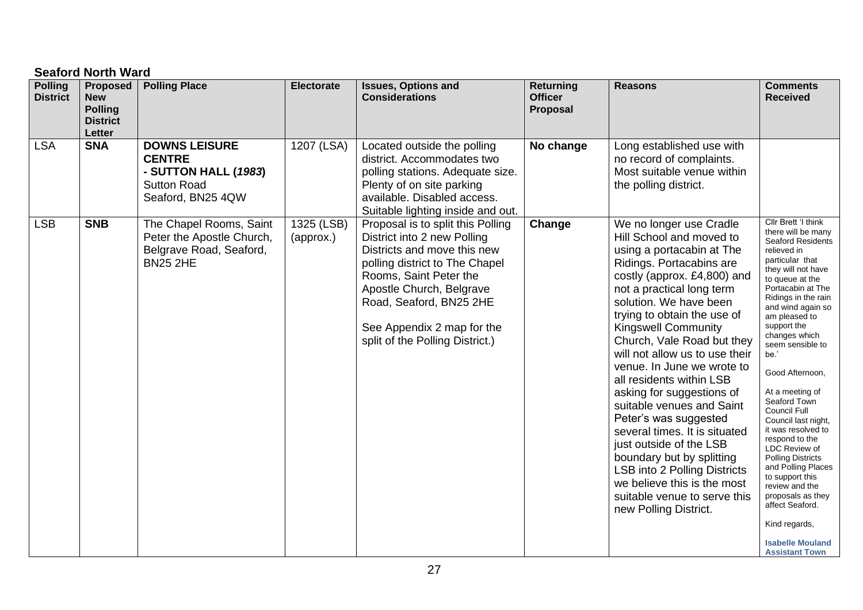# **Seaford North Ward**

| <b>Polling</b><br><b>District</b> | <b>Proposed</b><br><b>New</b><br><b>Polling</b><br><b>District</b><br>Letter | <b>Polling Place</b>                                                                                     | <b>Electorate</b>       | <b>Issues, Options and</b><br><b>Considerations</b>                                                                                                                                                                                                                                 | <b>Returning</b><br><b>Officer</b><br>Proposal | <b>Reasons</b>                                                                                                                                                                                                                                                                                                                                                                                                                                                                                                                                                                                                                                                                                | <b>Comments</b><br><b>Received</b>                                                                                                                                                                                                                                                                                                                                                                                                                                                                                                                                                                                                                       |
|-----------------------------------|------------------------------------------------------------------------------|----------------------------------------------------------------------------------------------------------|-------------------------|-------------------------------------------------------------------------------------------------------------------------------------------------------------------------------------------------------------------------------------------------------------------------------------|------------------------------------------------|-----------------------------------------------------------------------------------------------------------------------------------------------------------------------------------------------------------------------------------------------------------------------------------------------------------------------------------------------------------------------------------------------------------------------------------------------------------------------------------------------------------------------------------------------------------------------------------------------------------------------------------------------------------------------------------------------|----------------------------------------------------------------------------------------------------------------------------------------------------------------------------------------------------------------------------------------------------------------------------------------------------------------------------------------------------------------------------------------------------------------------------------------------------------------------------------------------------------------------------------------------------------------------------------------------------------------------------------------------------------|
| <b>LSA</b>                        | <b>SNA</b>                                                                   | <b>DOWNS LEISURE</b><br><b>CENTRE</b><br>- SUTTON HALL (1983)<br><b>Sutton Road</b><br>Seaford, BN25 4QW | 1207 (LSA)              | Located outside the polling<br>district. Accommodates two<br>polling stations. Adequate size.<br>Plenty of on site parking<br>available. Disabled access.<br>Suitable lighting inside and out.                                                                                      | No change                                      | Long established use with<br>no record of complaints.<br>Most suitable venue within<br>the polling district.                                                                                                                                                                                                                                                                                                                                                                                                                                                                                                                                                                                  |                                                                                                                                                                                                                                                                                                                                                                                                                                                                                                                                                                                                                                                          |
| <b>LSB</b>                        | <b>SNB</b>                                                                   | The Chapel Rooms, Saint<br>Peter the Apostle Church,<br>Belgrave Road, Seaford,<br><b>BN25 2HE</b>       | 1325 (LSB)<br>(approx.) | Proposal is to split this Polling<br>District into 2 new Polling<br>Districts and move this new<br>polling district to The Chapel<br>Rooms, Saint Peter the<br>Apostle Church, Belgrave<br>Road, Seaford, BN25 2HE<br>See Appendix 2 map for the<br>split of the Polling District.) | Change                                         | We no longer use Cradle<br>Hill School and moved to<br>using a portacabin at The<br>Ridings. Portacabins are<br>costly (approx. £4,800) and<br>not a practical long term<br>solution. We have been<br>trying to obtain the use of<br><b>Kingswell Community</b><br>Church, Vale Road but they<br>will not allow us to use their<br>venue. In June we wrote to<br>all residents within LSB<br>asking for suggestions of<br>suitable venues and Saint<br>Peter's was suggested<br>several times. It is situated<br>just outside of the LSB<br>boundary but by splitting<br>LSB into 2 Polling Districts<br>we believe this is the most<br>suitable venue to serve this<br>new Polling District. | Cllr Brett 'I think<br>there will be many<br><b>Seaford Residents</b><br>relieved in<br>particular that<br>they will not have<br>to queue at the<br>Portacabin at The<br>Ridings in the rain<br>and wind again so<br>am pleased to<br>support the<br>changes which<br>seem sensible to<br>be.'<br>Good Afternoon,<br>At a meeting of<br>Seaford Town<br>Council Full<br>Council last night,<br>it was resolved to<br>respond to the<br>LDC Review of<br><b>Polling Districts</b><br>and Polling Places<br>to support this<br>review and the<br>proposals as they<br>affect Seaford.<br>Kind regards,<br><b>Isabelle Mouland</b><br><b>Assistant Town</b> |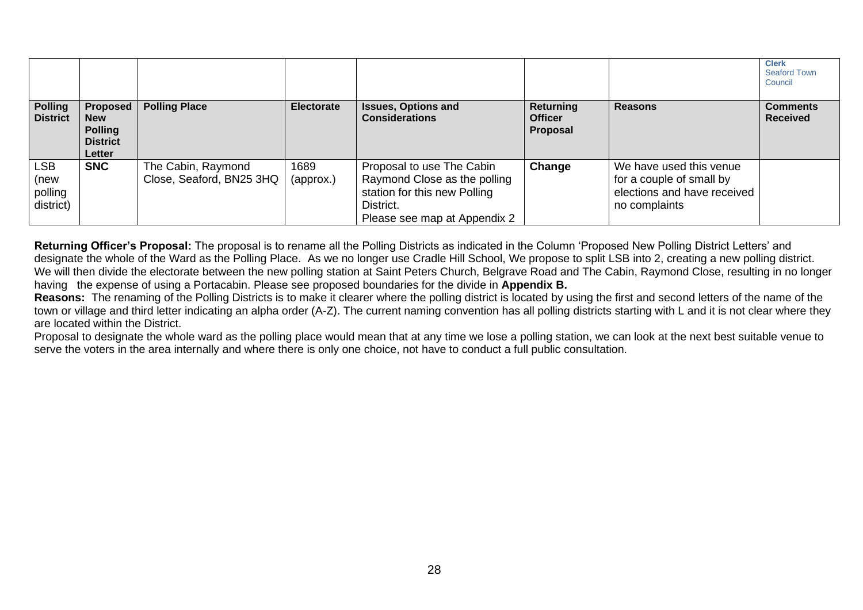|                                            |                                                                         |                                                |                   |                                                                                                                                        |                                                |                                                                                                     | <b>Clerk</b><br><b>Seaford Town</b><br>Council |
|--------------------------------------------|-------------------------------------------------------------------------|------------------------------------------------|-------------------|----------------------------------------------------------------------------------------------------------------------------------------|------------------------------------------------|-----------------------------------------------------------------------------------------------------|------------------------------------------------|
| <b>Polling</b><br><b>District</b>          | Proposed  <br><b>New</b><br><b>Polling</b><br><b>District</b><br>Letter | <b>Polling Place</b>                           | <b>Electorate</b> | <b>Issues, Options and</b><br><b>Considerations</b>                                                                                    | <b>Returning</b><br><b>Officer</b><br>Proposal | <b>Reasons</b>                                                                                      | <b>Comments</b><br><b>Received</b>             |
| <b>LSB</b><br>(new<br>polling<br>district) | <b>SNC</b>                                                              | The Cabin, Raymond<br>Close, Seaford, BN25 3HQ | 1689<br>(approx.) | Proposal to use The Cabin<br>Raymond Close as the polling<br>station for this new Polling<br>District.<br>Please see map at Appendix 2 | Change                                         | We have used this venue<br>for a couple of small by<br>elections and have received<br>no complaints |                                                |

**Returning Officer's Proposal:** The proposal is to rename all the Polling Districts as indicated in the Column 'Proposed New Polling District Letters' and designate the whole of the Ward as the Polling Place. As we no longer use Cradle Hill School, We propose to split LSB into 2, creating a new polling district. We will then divide the electorate between the new polling station at Saint Peters Church, Belgrave Road and The Cabin, Raymond Close, resulting in no longer having the expense of using a Portacabin. Please see proposed boundaries for the divide in **Appendix B.**

**Reasons:** The renaming of the Polling Districts is to make it clearer where the polling district is located by using the first and second letters of the name of the town or village and third letter indicating an alpha order (A-Z). The current naming convention has all polling districts starting with L and it is not clear where they are located within the District.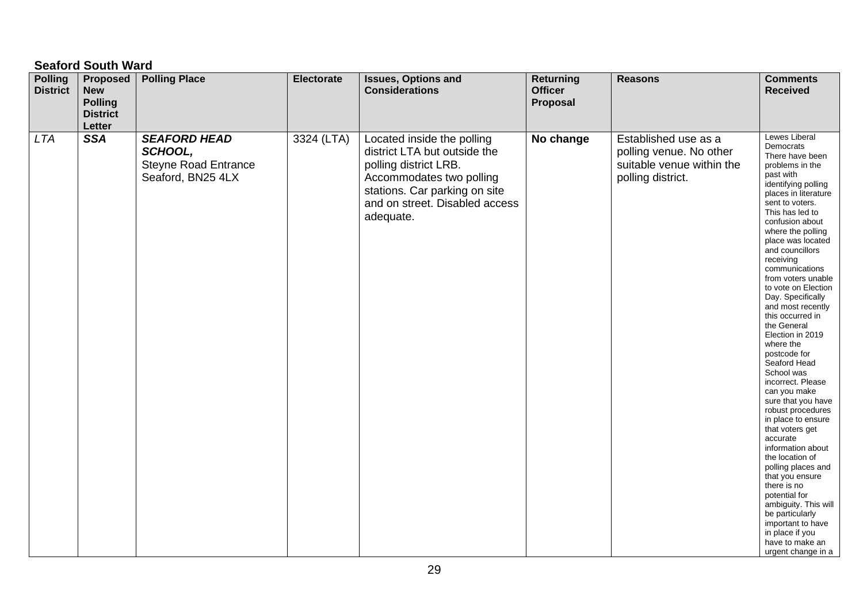# **Seaford South Ward**

| <b>Polling</b><br><b>District</b> | <b>Proposed</b><br><b>New</b><br><b>Polling</b><br><b>District</b><br>Letter | <b>Polling Place</b>                                                               | Electorate | <b>Issues, Options and</b><br><b>Considerations</b>                                                                                                                                             | <b>Returning</b><br><b>Officer</b><br>Proposal | <b>Reasons</b>                                                                                    | <b>Comments</b><br><b>Received</b>                                                                                                                                                                                                                                                                                                                                                                                                                                                                                                                                                                                                                                                                                                                                                                                                                                           |
|-----------------------------------|------------------------------------------------------------------------------|------------------------------------------------------------------------------------|------------|-------------------------------------------------------------------------------------------------------------------------------------------------------------------------------------------------|------------------------------------------------|---------------------------------------------------------------------------------------------------|------------------------------------------------------------------------------------------------------------------------------------------------------------------------------------------------------------------------------------------------------------------------------------------------------------------------------------------------------------------------------------------------------------------------------------------------------------------------------------------------------------------------------------------------------------------------------------------------------------------------------------------------------------------------------------------------------------------------------------------------------------------------------------------------------------------------------------------------------------------------------|
| <b>LTA</b>                        | <b>SSA</b>                                                                   | <b>SEAFORD HEAD</b><br>SCHOOL,<br><b>Steyne Road Entrance</b><br>Seaford, BN25 4LX | 3324 (LTA) | Located inside the polling<br>district LTA but outside the<br>polling district LRB.<br>Accommodates two polling<br>stations. Car parking on site<br>and on street. Disabled access<br>adequate. | No change                                      | Established use as a<br>polling venue. No other<br>suitable venue within the<br>polling district. | Lewes Liberal<br>Democrats<br>There have been<br>problems in the<br>past with<br>identifying polling<br>places in literature<br>sent to voters.<br>This has led to<br>confusion about<br>where the polling<br>place was located<br>and councillors<br>receiving<br>communications<br>from voters unable<br>to vote on Election<br>Day. Specifically<br>and most recently<br>this occurred in<br>the General<br>Election in 2019<br>where the<br>postcode for<br>Seaford Head<br>School was<br>incorrect. Please<br>can you make<br>sure that you have<br>robust procedures<br>in place to ensure<br>that voters get<br>accurate<br>information about<br>the location of<br>polling places and<br>that you ensure<br>there is no<br>potential for<br>ambiguity. This will<br>be particularly<br>important to have<br>in place if you<br>have to make an<br>urgent change in a |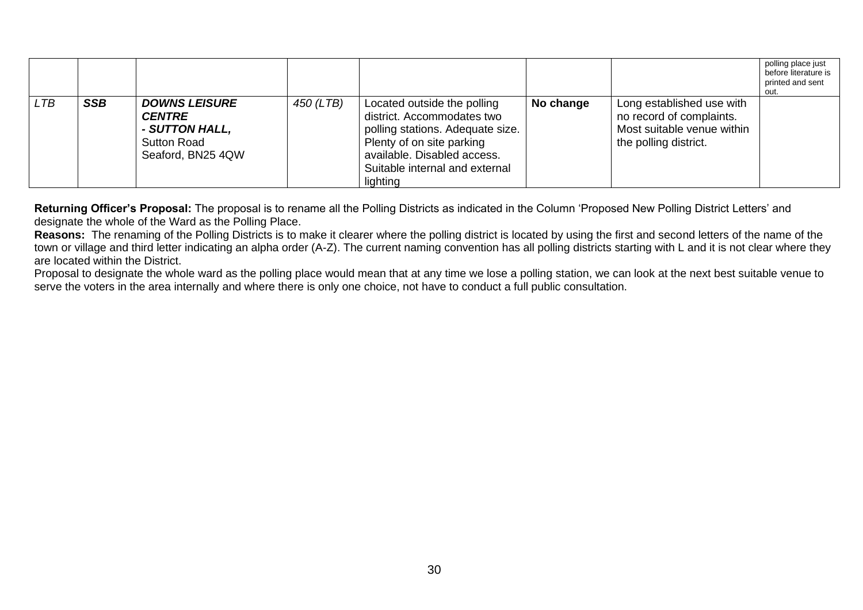|            |            |                                                                                                    |           |                                                                                                                                                                                                         |           |                                                                                                              | polling place just<br>before literature is<br>printed and sent<br>out. |
|------------|------------|----------------------------------------------------------------------------------------------------|-----------|---------------------------------------------------------------------------------------------------------------------------------------------------------------------------------------------------------|-----------|--------------------------------------------------------------------------------------------------------------|------------------------------------------------------------------------|
| <b>LTB</b> | <b>SSB</b> | <b>DOWNS LEISURE</b><br><b>CENTRE</b><br>- SUTTON HALL,<br><b>Sutton Road</b><br>Seaford, BN25 4QW | 450 (LTB) | Located outside the polling<br>district. Accommodates two<br>polling stations. Adequate size.<br>Plenty of on site parking<br>available. Disabled access.<br>Suitable internal and external<br>lighting | No change | Long established use with<br>no record of complaints.<br>Most suitable venue within<br>the polling district. |                                                                        |

**Returning Officer's Proposal:** The proposal is to rename all the Polling Districts as indicated in the Column 'Proposed New Polling District Letters' and designate the whole of the Ward as the Polling Place.

**Reasons:** The renaming of the Polling Districts is to make it clearer where the polling district is located by using the first and second letters of the name of the town or village and third letter indicating an alpha order (A-Z). The current naming convention has all polling districts starting with L and it is not clear where they are located within the District.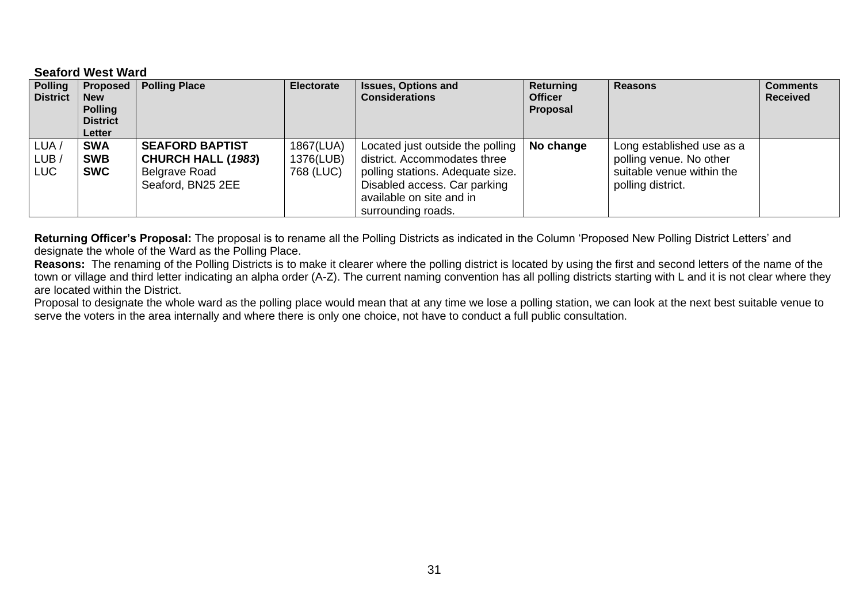#### **Seaford West Ward**

| <b>Polling</b><br><b>District</b> | <b>Proposed</b><br><b>New</b><br><b>Polling</b><br><b>District</b><br>Letter | <b>Polling Place</b>                                                                      | <b>Electorate</b>                   | <b>Issues, Options and</b><br><b>Considerations</b>                                                                                                                                    | Returning<br><b>Officer</b><br>Proposal | <b>Reasons</b>                                                                                         | <b>Comments</b><br><b>Received</b> |
|-----------------------------------|------------------------------------------------------------------------------|-------------------------------------------------------------------------------------------|-------------------------------------|----------------------------------------------------------------------------------------------------------------------------------------------------------------------------------------|-----------------------------------------|--------------------------------------------------------------------------------------------------------|------------------------------------|
| LUA ,<br>LUB ,<br>LUC             | <b>SWA</b><br><b>SWB</b><br><b>SWC</b>                                       | <b>SEAFORD BAPTIST</b><br><b>CHURCH HALL (1983)</b><br>Belgrave Road<br>Seaford, BN25 2EE | 1867(LUA)<br>1376(LUB)<br>768 (LUC) | Located just outside the polling<br>district. Accommodates three<br>polling stations. Adequate size.<br>Disabled access. Car parking<br>available on site and in<br>surrounding roads. | No change                               | Long established use as a<br>polling venue. No other<br>suitable venue within the<br>polling district. |                                    |

**Returning Officer's Proposal:** The proposal is to rename all the Polling Districts as indicated in the Column 'Proposed New Polling District Letters' and designate the whole of the Ward as the Polling Place.

**Reasons:** The renaming of the Polling Districts is to make it clearer where the polling district is located by using the first and second letters of the name of the town or village and third letter indicating an alpha order (A-Z). The current naming convention has all polling districts starting with L and it is not clear where they are located within the District.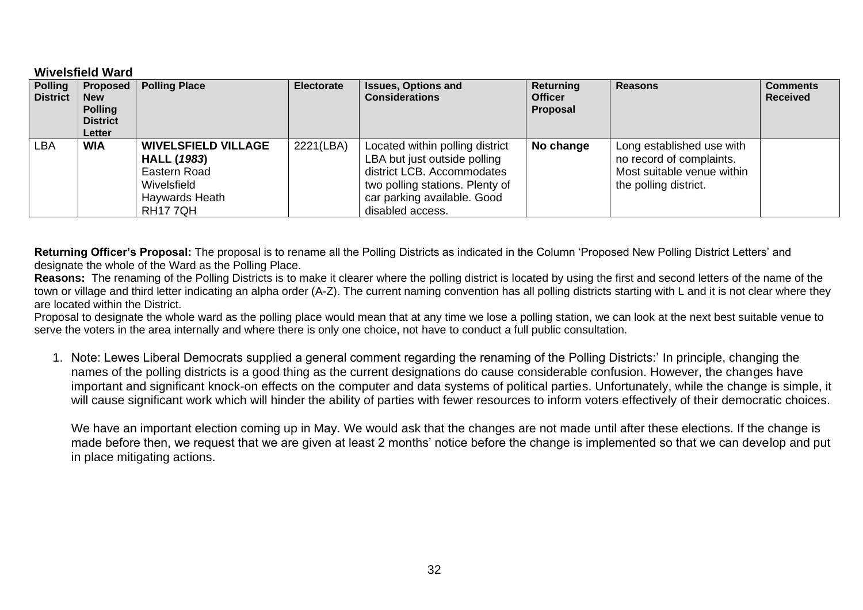#### **Wivelsfield Ward**

| <b>Polling</b><br><b>District</b> | Proposed  <br><b>New</b><br><b>Polling</b><br><b>District</b><br><b>Letter</b> | <b>Polling Place</b>                                                                                                | <b>Electorate</b> | <b>Issues, Options and</b><br><b>Considerations</b>                                                                                                                                 | Returning<br><b>Officer</b><br>Proposal | <b>Reasons</b>                                                                                               | <b>Comments</b><br><b>Received</b> |
|-----------------------------------|--------------------------------------------------------------------------------|---------------------------------------------------------------------------------------------------------------------|-------------------|-------------------------------------------------------------------------------------------------------------------------------------------------------------------------------------|-----------------------------------------|--------------------------------------------------------------------------------------------------------------|------------------------------------|
| <b>LBA</b>                        | <b>WIA</b>                                                                     | <b>WIVELSFIELD VILLAGE</b><br><b>HALL (1983)</b><br>Eastern Road<br>Wivelsfield<br>Haywards Heath<br><b>RH177QH</b> | 2221(LBA)         | Located within polling district<br>LBA but just outside polling<br>district LCB. Accommodates<br>two polling stations. Plenty of<br>car parking available. Good<br>disabled access. | No change                               | Long established use with<br>no record of complaints.<br>Most suitable venue within<br>the polling district. |                                    |

**Returning Officer's Proposal:** The proposal is to rename all the Polling Districts as indicated in the Column 'Proposed New Polling District Letters' and designate the whole of the Ward as the Polling Place.

**Reasons:** The renaming of the Polling Districts is to make it clearer where the polling district is located by using the first and second letters of the name of the town or village and third letter indicating an alpha order (A-Z). The current naming convention has all polling districts starting with L and it is not clear where they are located within the District.

Proposal to designate the whole ward as the polling place would mean that at any time we lose a polling station, we can look at the next best suitable venue to serve the voters in the area internally and where there is only one choice, not have to conduct a full public consultation.

1. Note: Lewes Liberal Democrats supplied a general comment regarding the renaming of the Polling Districts:' In principle, changing the names of the polling districts is a good thing as the current designations do cause considerable confusion. However, the changes have important and significant knock-on effects on the computer and data systems of political parties. Unfortunately, while the change is simple, it will cause significant work which will hinder the ability of parties with fewer resources to inform voters effectively of their democratic choices.

We have an important election coming up in May. We would ask that the changes are not made until after these elections. If the change is made before then, we request that we are given at least 2 months' notice before the change is implemented so that we can develop and put in place mitigating actions.